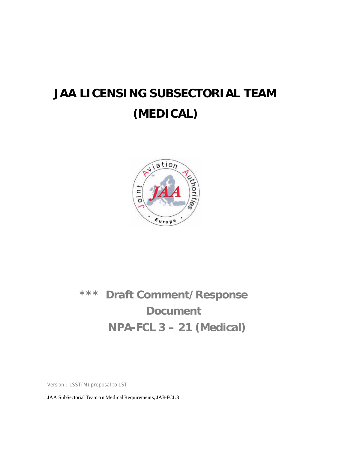# **JAA LICENSING SUBSECTORIAL TEAM (MEDICAL)**



# **\*\*\* Draft Comment/Response Document NPA-FCL 3 – 21 (Medical)**

Version : LSST(M) proposal to LST

JAA SubSectorial Team o n Medical Requirements, JAR-FCL 3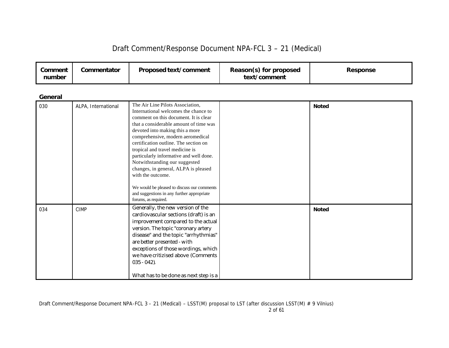| Draft Comment/Response Document NPA-FCL 3 - 21 (Medical) |  |  |  |
|----------------------------------------------------------|--|--|--|
|----------------------------------------------------------|--|--|--|

| Comment<br>number | Commentator         | <b>Proposed text/comment</b>                                                                                                                                                                                                                                                                                                                                                                                                                             | Reason(s) for proposed<br>text/comment | <b>Response</b> |
|-------------------|---------------------|----------------------------------------------------------------------------------------------------------------------------------------------------------------------------------------------------------------------------------------------------------------------------------------------------------------------------------------------------------------------------------------------------------------------------------------------------------|----------------------------------------|-----------------|
| General           |                     |                                                                                                                                                                                                                                                                                                                                                                                                                                                          |                                        |                 |
| 030               | ALPA, International | The Air Line Pilots Association,<br>International welcomes the chance to<br>comment on this document. It is clear<br>that a considerable amount of time was<br>devoted into making this a more<br>comprehensive, modern aeromedical<br>certification outline. The section on<br>tropical and travel medicine is<br>particularly informative and well done.<br>Notwithstanding our suggested<br>changes, in general, ALPA is pleased<br>with the outcome. |                                        | <b>Noted</b>    |

| Draft Comment/Response Document NPA-FCL 3 - 21 (Medical) - LSST(M) proposal to LST (after discussion LSST(M) # 9 Vilnius) |  |  |
|---------------------------------------------------------------------------------------------------------------------------|--|--|
|                                                                                                                           |  |  |

We would be pleased to discuss our comments and suggestions in any further appropriate

cardiovascular sections (draft) is an improvement compared to the actual version. The topic "coronary artery disease" and the topic "arrhythmias"

exceptions of those wordings, which we have critizised above (Comments

What has to be done as next step is a

are better presented - with

forums, as required.

035 - 042).

034 CIMP Generally, the new version of the

**Noted**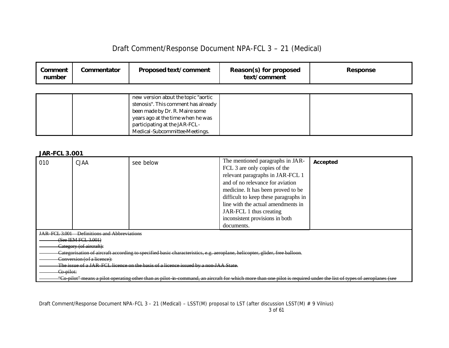| Draft Comment/Response Document NPA-FCL 3 - 21 (Medical) |  |
|----------------------------------------------------------|--|
|----------------------------------------------------------|--|

| Comment<br>number | Commentator | <b>Proposed text/comment</b>        | Reason(s) for proposed<br>text/comment | <b>Response</b> |
|-------------------|-------------|-------------------------------------|----------------------------------------|-----------------|
|                   |             |                                     |                                        |                 |
|                   |             | new version about the topic "aortic |                                        |                 |
|                   |             | stenosis". This comment has already |                                        |                 |
|                   |             | been made by Dr. R. Maire some      |                                        |                 |
|                   |             | years ago at the time when he was   |                                        |                 |
|                   |             | participating at the JAR-FCL-       |                                        |                 |
|                   |             | Medical-Subcommittee-Meetings.      |                                        |                 |

### *JAR-FCL 3.001*

| 010                                                                                                                        | <b>CJAA</b>                          | see below                                                                                                                                                           | The mentioned paragraphs in JAR-      | Accepted |  |
|----------------------------------------------------------------------------------------------------------------------------|--------------------------------------|---------------------------------------------------------------------------------------------------------------------------------------------------------------------|---------------------------------------|----------|--|
|                                                                                                                            |                                      |                                                                                                                                                                     | FCL 3 are only copies of the          |          |  |
|                                                                                                                            |                                      |                                                                                                                                                                     | relevant paragraphs in JAR-FCL 1      |          |  |
|                                                                                                                            |                                      |                                                                                                                                                                     | and of no relevance for aviation      |          |  |
|                                                                                                                            |                                      |                                                                                                                                                                     | medicine. It has been proved to be    |          |  |
|                                                                                                                            |                                      |                                                                                                                                                                     | difficult to keep these paragraphs in |          |  |
|                                                                                                                            |                                      |                                                                                                                                                                     | line with the actual amendments in    |          |  |
|                                                                                                                            |                                      |                                                                                                                                                                     | JAR-FCL 1 thus creating               |          |  |
|                                                                                                                            |                                      |                                                                                                                                                                     | inconsistent provisions in both       |          |  |
|                                                                                                                            |                                      |                                                                                                                                                                     | documents.                            |          |  |
| <b>JAR FCL 3.001</b>                                                                                                       | <b>Definitions and Abbreviations</b> |                                                                                                                                                                     |                                       |          |  |
|                                                                                                                            | $(See$ IEM FCL $3.001$ )             |                                                                                                                                                                     |                                       |          |  |
|                                                                                                                            | Category (of aircraft):              |                                                                                                                                                                     |                                       |          |  |
| Categorisation of aircraft according to specified basic characteristics, e.g. aeroplane, helicopter, glider, free balloon. |                                      |                                                                                                                                                                     |                                       |          |  |
| Conversion (of a licence):                                                                                                 |                                      |                                                                                                                                                                     |                                       |          |  |
| The issue of a JAR FCL licence on the basis of a licence issued by a non-JAA State.                                        |                                      |                                                                                                                                                                     |                                       |          |  |
| Co-pilot:                                                                                                                  |                                      |                                                                                                                                                                     |                                       |          |  |
|                                                                                                                            |                                      | "Co-pilot" means a pilot operating other than as pilot in command, an aircraft for which more than one pilot is required under the list of types of aeroplanes (see |                                       |          |  |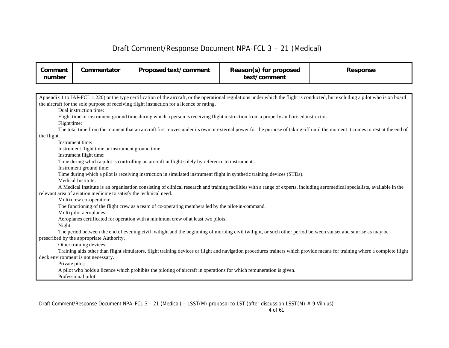| Comment<br>number | Commentator                                                                                                                                                               | Proposed text/comment                                                                                                              | Reason(s) for proposed<br>text/comment | <b>Response</b>                                                                                                                                                                   |  |  |  |
|-------------------|---------------------------------------------------------------------------------------------------------------------------------------------------------------------------|------------------------------------------------------------------------------------------------------------------------------------|----------------------------------------|-----------------------------------------------------------------------------------------------------------------------------------------------------------------------------------|--|--|--|
|                   |                                                                                                                                                                           |                                                                                                                                    |                                        |                                                                                                                                                                                   |  |  |  |
|                   |                                                                                                                                                                           |                                                                                                                                    |                                        | Appendix 1 to JAR-FCL 1.220) or the type certification of the aircraft, or the operational regulations under which the flight is conducted, but excluding a pilot who is on board |  |  |  |
|                   |                                                                                                                                                                           | the aircraft for the sole purpose of receiving flight instruction for a licence or rating.                                         |                                        |                                                                                                                                                                                   |  |  |  |
|                   | Dual instruction time:                                                                                                                                                    |                                                                                                                                    |                                        |                                                                                                                                                                                   |  |  |  |
|                   |                                                                                                                                                                           | Flight time or instrument ground time during which a person is receiving flight instruction from a properly authorised instructor. |                                        |                                                                                                                                                                                   |  |  |  |
| Flight time:      |                                                                                                                                                                           |                                                                                                                                    |                                        |                                                                                                                                                                                   |  |  |  |
|                   |                                                                                                                                                                           |                                                                                                                                    |                                        | The total time from the moment that an aircraft first moves under its own or external power for the purpose of taking-off until the moment it comes to rest at the end of         |  |  |  |
| the flight.       |                                                                                                                                                                           |                                                                                                                                    |                                        |                                                                                                                                                                                   |  |  |  |
|                   | Instrument time:                                                                                                                                                          |                                                                                                                                    |                                        |                                                                                                                                                                                   |  |  |  |
|                   | Instrument flight time or instrument ground time.                                                                                                                         |                                                                                                                                    |                                        |                                                                                                                                                                                   |  |  |  |
|                   | Instrument flight time:                                                                                                                                                   |                                                                                                                                    |                                        |                                                                                                                                                                                   |  |  |  |
|                   |                                                                                                                                                                           | Time during which a pilot is controlling an aircraft in flight solely by reference to instruments.                                 |                                        |                                                                                                                                                                                   |  |  |  |
|                   | Instrument ground time:                                                                                                                                                   |                                                                                                                                    |                                        |                                                                                                                                                                                   |  |  |  |
|                   |                                                                                                                                                                           | Time during which a pilot is receiving instruction in simulated instrument flight in synthetic training devices (STDs).            |                                        |                                                                                                                                                                                   |  |  |  |
|                   | Medical Institute:                                                                                                                                                        |                                                                                                                                    |                                        |                                                                                                                                                                                   |  |  |  |
|                   |                                                                                                                                                                           |                                                                                                                                    |                                        | A Medical Institute is an organisation consisting of clinical research and training facilities with a range of experts, including aeromedical specialists, available in the       |  |  |  |
|                   | relevant area of aviation medicine to satisfy the technical need.                                                                                                         |                                                                                                                                    |                                        |                                                                                                                                                                                   |  |  |  |
|                   | Multi-crew co-operation:                                                                                                                                                  |                                                                                                                                    |                                        |                                                                                                                                                                                   |  |  |  |
|                   |                                                                                                                                                                           | The functioning of the flight crew as a team of co-operating members led by the pilot-in-command.                                  |                                        |                                                                                                                                                                                   |  |  |  |
|                   | Multi-pilot aeroplanes:                                                                                                                                                   |                                                                                                                                    |                                        |                                                                                                                                                                                   |  |  |  |
|                   |                                                                                                                                                                           | Aeroplanes certificated for operation with a minimum crew of at least two pilots.                                                  |                                        |                                                                                                                                                                                   |  |  |  |
|                   | Night:                                                                                                                                                                    |                                                                                                                                    |                                        |                                                                                                                                                                                   |  |  |  |
|                   | The period between the end of evening civil twilight and the beginning of morning civil twilight, or such other period between sunset and sunrise as may be               |                                                                                                                                    |                                        |                                                                                                                                                                                   |  |  |  |
|                   | prescribed by the appropriate Authority.                                                                                                                                  |                                                                                                                                    |                                        |                                                                                                                                                                                   |  |  |  |
|                   | Other training devices:                                                                                                                                                   |                                                                                                                                    |                                        |                                                                                                                                                                                   |  |  |  |
|                   | Training aids other than flight simulators, flight training devices or flight and navigation procedures trainers which provide means for training where a complete flight |                                                                                                                                    |                                        |                                                                                                                                                                                   |  |  |  |
|                   | deck environment is not necessary.                                                                                                                                        |                                                                                                                                    |                                        |                                                                                                                                                                                   |  |  |  |
| Private pilot:    |                                                                                                                                                                           |                                                                                                                                    |                                        |                                                                                                                                                                                   |  |  |  |
|                   |                                                                                                                                                                           | A pilot who holds a licence which prohibits the piloting of aircraft in operations for which remuneration is given.                |                                        |                                                                                                                                                                                   |  |  |  |
|                   | Professional pilot:                                                                                                                                                       |                                                                                                                                    |                                        |                                                                                                                                                                                   |  |  |  |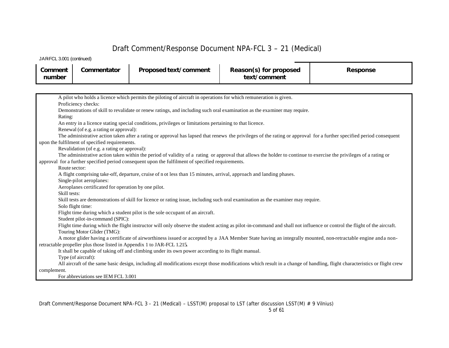JAR-FCL 3.001 (continued)

| Comment<br>number | Commentator | Proposed text/comment | Reason(s) for proposed<br>text/comment | Response |
|-------------------|-------------|-----------------------|----------------------------------------|----------|
|                   |             |                       |                                        |          |

| A pilot who holds a licence which permits the piloting of aircraft in operations for which remuneration is given.                                                         |
|---------------------------------------------------------------------------------------------------------------------------------------------------------------------------|
| Proficiency checks:                                                                                                                                                       |
| Demonstrations of skill to revalidate or renew ratings, and including such oral examination as the examiner may require.                                                  |
| Rating:                                                                                                                                                                   |
| An entry in a licence stating special conditions, privileges or limitations pertaining to that licence.                                                                   |
| Renewal (of e.g. a rating or approval):                                                                                                                                   |
| The administrative action taken after a rating or approval has lapsed that renews the privileges of the rating or approval for a further specified period consequent      |
| upon the fulfilment of specified requirements.                                                                                                                            |
| Revalidation (of e.g. a rating or approval):                                                                                                                              |
| The administrative action taken within the period of validity of a rating or approval that allows the holder to continue to exercise the privileges of a rating or        |
| approval for a further specified period consequent upon the fulfilment of specified requirements.                                                                         |
| Route sector:                                                                                                                                                             |
| A flight comprising take-off, departure, cruise of n ot less than 15 minutes, arrival, approach and landing phases.                                                       |
| Single-pilot aeroplanes:                                                                                                                                                  |
| Aeroplanes certificated for operation by one pilot.                                                                                                                       |
| Skill tests:                                                                                                                                                              |
| Skill tests are demonstrations of skill for licence or rating issue, including such oral examination as the examiner may require.                                         |
| Solo flight time:                                                                                                                                                         |
| Flight time during which a student pilot is the sole occupant of an aircraft.                                                                                             |
| Student pilot-in-command (SPIC):                                                                                                                                          |
| Flight time during which the flight instructor will only observe the student acting as pilot-in-command and shall not influence or control the flight of the aircraft.    |
| Touring Motor Glider (TMG):                                                                                                                                               |
| A motor glider having a certificate of airworthiness issued or accepted by a JAA Member State having an integrally mounted, non-retractable engine and a non-             |
| retractable propeller plus those listed in Appendix 1 to JAR-FCL 1.215.                                                                                                   |
| It shall be capable of taking off and climbing under its own power according to its flight manual.                                                                        |
| Type (of aircraft):                                                                                                                                                       |
| All aircraft of the same basic design, including all modifications except those modifications which result in a change of handling, flight characteristics or flight crew |
| complement.                                                                                                                                                               |
| For abbreviations see IEM FCL 3.001                                                                                                                                       |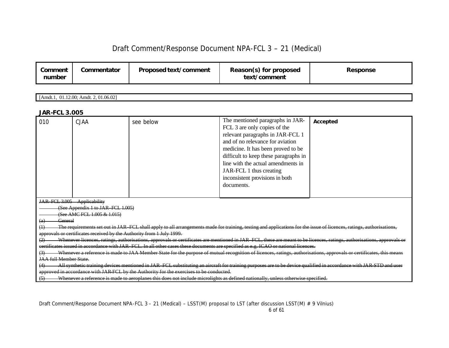| Comment<br>number | Commentator | Proposed text/comment | Reason(s) for proposed<br>text/comment | Response |
|-------------------|-------------|-----------------------|----------------------------------------|----------|
|-------------------|-------------|-----------------------|----------------------------------------|----------|

[Amdt.1, 01.12.00; Amdt. 2, 01.06.02]

### *JAR-FCL 3.005*

| 010                                                                                                                                                                | <b>CJAA</b>                                                                                                                                                           | see below                                                                                                                                                           | The mentioned paragraphs in JAR-<br>FCL 3 are only copies of the<br>relevant paragraphs in JAR-FCL 1<br>and of no relevance for aviation<br>medicine. It has been proved to be | Accepted |  |  |  |
|--------------------------------------------------------------------------------------------------------------------------------------------------------------------|-----------------------------------------------------------------------------------------------------------------------------------------------------------------------|---------------------------------------------------------------------------------------------------------------------------------------------------------------------|--------------------------------------------------------------------------------------------------------------------------------------------------------------------------------|----------|--|--|--|
|                                                                                                                                                                    |                                                                                                                                                                       |                                                                                                                                                                     | difficult to keep these paragraphs in                                                                                                                                          |          |  |  |  |
|                                                                                                                                                                    |                                                                                                                                                                       |                                                                                                                                                                     | line with the actual amendments in<br>JAR-FCL 1 thus creating                                                                                                                  |          |  |  |  |
|                                                                                                                                                                    |                                                                                                                                                                       |                                                                                                                                                                     | inconsistent provisions in both                                                                                                                                                |          |  |  |  |
|                                                                                                                                                                    |                                                                                                                                                                       |                                                                                                                                                                     | documents.                                                                                                                                                                     |          |  |  |  |
|                                                                                                                                                                    |                                                                                                                                                                       |                                                                                                                                                                     |                                                                                                                                                                                |          |  |  |  |
|                                                                                                                                                                    | JAR FCL 3.005 Applicability                                                                                                                                           |                                                                                                                                                                     |                                                                                                                                                                                |          |  |  |  |
|                                                                                                                                                                    | (See Appendix 1 to JAR FCL 1.005)                                                                                                                                     |                                                                                                                                                                     |                                                                                                                                                                                |          |  |  |  |
|                                                                                                                                                                    | (See AMC FCL 1.005 & 1.015)                                                                                                                                           |                                                                                                                                                                     |                                                                                                                                                                                |          |  |  |  |
| General<br>(a)                                                                                                                                                     |                                                                                                                                                                       |                                                                                                                                                                     |                                                                                                                                                                                |          |  |  |  |
|                                                                                                                                                                    |                                                                                                                                                                       | The requirements set out in JAR FCL shall apply to all arrangements made for training, testing and applications for the issue of licences, ratings, authorisations, |                                                                                                                                                                                |          |  |  |  |
|                                                                                                                                                                    | approvals or certificates received by the Authority from 1 July 1999.                                                                                                 |                                                                                                                                                                     |                                                                                                                                                                                |          |  |  |  |
|                                                                                                                                                                    | Whenever licences, ratings, authorisations, approvals or certificates are mentioned in JAR FCL, these are meant to be licences, ratings, authorisations, approvals or |                                                                                                                                                                     |                                                                                                                                                                                |          |  |  |  |
| certificates issued in accordance with JAR FCL. In all other cases these documents are specified as e.g. ICAO or national licences.                                |                                                                                                                                                                       |                                                                                                                                                                     |                                                                                                                                                                                |          |  |  |  |
| Whenever a reference is made to JAA Member State for the purpose of mutual recognition of licences, ratings, authorisations, approvals or certificates, this means |                                                                                                                                                                       |                                                                                                                                                                     |                                                                                                                                                                                |          |  |  |  |
| <b>JAA full Member State.</b>                                                                                                                                      |                                                                                                                                                                       |                                                                                                                                                                     |                                                                                                                                                                                |          |  |  |  |
| All synthetic training devices mentioned in JAR FCL substituting an aircraft for training purposes are to be device qualified in accordance with JAR-STD and user  |                                                                                                                                                                       |                                                                                                                                                                     |                                                                                                                                                                                |          |  |  |  |
|                                                                                                                                                                    |                                                                                                                                                                       | approved in accordance with JAR FCL by the Authority for the exercises to be conducted.                                                                             |                                                                                                                                                                                |          |  |  |  |
| Whenever a reference is made to aeroplanes this does not include microlights as defined nationally, unless otherwise specified.<br>(5)                             |                                                                                                                                                                       |                                                                                                                                                                     |                                                                                                                                                                                |          |  |  |  |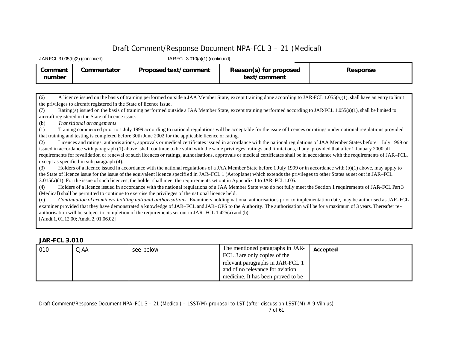| JARFCL 3.010(a)(1) (continued)<br>JARFCL 3.005(b)(2) (continued) |             |                       |                                        |                 |
|------------------------------------------------------------------|-------------|-----------------------|----------------------------------------|-----------------|
| Comment<br>number                                                | Commentator | Proposed text/comment | Reason(s) for proposed<br>text/comment | <b>Response</b> |

(6) A licence issued on the basis of training performed outside a JAA Member State, except training done according to JAR-FCL 1.055(a)(1), shall have an entry to limit the privileges to aircraft registered in the State of licence issue.

(7) Rating(s) issued on the basis of training performed outside a JAA Member State, except training performed according to JAR-FCL 1.055(a)(1), shall be limited to aircraft registered in the State of licence issue.

(b) *Transitional arrangements*

(1) Training commenced prior to 1 July 1999 according to national regulations will be acceptable for the issue of licences or ratings under national regulations provided that training and testing is completed before 30th June 2002 for the applicable licence or rating.

(2) Licences and ratings, authoris ations, approvals or medical certificates issued in accordance with the national regulations of JAA Member States before 1 July 1999 or issued in accordance with paragraph (1) above, shall continue to be valid with the same privileges, ratings and limitations, if any, provided that after 1 January 2000 all requirements for revalidation or renewal of such licences or ratings, authorisations, approvals or medical certificates shall be in accordance with the requirements of JAR–FCL, except as specified in sub paragraph (4).

(3) Holders of a licence issued in accordance with the national regulations of a JAA Member State before 1 July 1999 or in accordance with (b)(1) above, may apply to the State of licence issue for the issue of the equivalent licence specified in JAR–FCL 1 (Aeroplane) which extends the privileges to other States as set out in JAR–FCL  $3.015(a)(1)$ . For the issue of such licences, the holder shall meet the requirements set out in Appendix 1 to JAR–FCL 1.005.

(4) Holders of a licence issued in accordance with the national regulations of a JAA Member State who do not fully meet the Section 1 requirements of JAR–FCL Part 3 (Medical) shall be permitted to continue to exercise the privileges of the national licence held.

(c) *Continuation of examiners holding national authorisations.* Examiners holding national authorisations prior to implementation date, may be authorised as JAR–FCL examiner provided that they have demonstrated a knowledge of JAR–FCL and JAR–OPS to the Authority. The authorisation will be for a maximum of 3 years. Thereafter re authorisation will be subject to completion of the requirements set out in JAR–FCL 1.425(a) and (b). [Amdt.1, 01.12.00; Amdt. 2, 01.06.02]

### *JAR-FCL 3.010*

| 010 | <b>CJAA</b> | see below | The mentioned paragraphs in JAR-<br>FCL 3 are only copies of the | Accepted |
|-----|-------------|-----------|------------------------------------------------------------------|----------|
|     |             |           | relevant paragraphs in JAR-FCL 1                                 |          |
|     |             |           | and of no relevance for aviation                                 |          |
|     |             |           | medicine. It has been proved to be                               |          |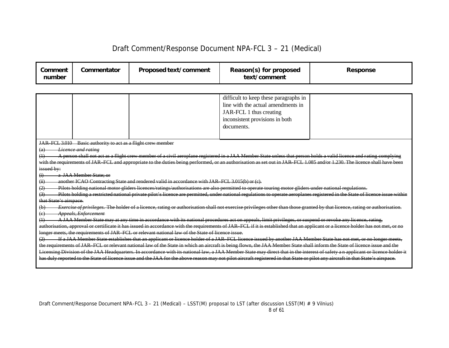|                                                                                                                                    |                                                                                                                                                 |                                                                                                                                                                                                    | Reason(s) for proposed<br>text/comment                                                                                                                                                                                                                                                                                                                                                                                                                                                                   | <b>Response</b>                                                                                                                                                                                                                                                                                                                                                                                                                                                                                                                                                                                                                                                                                                                                                                                                                                                                                   |
|------------------------------------------------------------------------------------------------------------------------------------|-------------------------------------------------------------------------------------------------------------------------------------------------|----------------------------------------------------------------------------------------------------------------------------------------------------------------------------------------------------|----------------------------------------------------------------------------------------------------------------------------------------------------------------------------------------------------------------------------------------------------------------------------------------------------------------------------------------------------------------------------------------------------------------------------------------------------------------------------------------------------------|---------------------------------------------------------------------------------------------------------------------------------------------------------------------------------------------------------------------------------------------------------------------------------------------------------------------------------------------------------------------------------------------------------------------------------------------------------------------------------------------------------------------------------------------------------------------------------------------------------------------------------------------------------------------------------------------------------------------------------------------------------------------------------------------------------------------------------------------------------------------------------------------------|
|                                                                                                                                    |                                                                                                                                                 |                                                                                                                                                                                                    |                                                                                                                                                                                                                                                                                                                                                                                                                                                                                                          |                                                                                                                                                                                                                                                                                                                                                                                                                                                                                                                                                                                                                                                                                                                                                                                                                                                                                                   |
|                                                                                                                                    |                                                                                                                                                 |                                                                                                                                                                                                    | difficult to keep these paragraphs in<br>line with the actual amendments in<br>JAR-FCL 1 thus creating<br>inconsistent provisions in both<br>documents.                                                                                                                                                                                                                                                                                                                                                  |                                                                                                                                                                                                                                                                                                                                                                                                                                                                                                                                                                                                                                                                                                                                                                                                                                                                                                   |
| $\left( a\right)$<br>(1)<br>issued by:<br>$\ddot{a}$<br>(ii)<br>(3)<br>that State's airspace.<br>(b)<br>$\left( \mathrm{e}\right)$ | JAR FCL 3.010 Basic authority to act as a flight crew member<br><del>Licence and ratine</del><br>a JAA Member State: or<br>Appeals, Enforcement | another ICAO Contracting State and rendered valid in accordance with JAR FCL 3.015(b) or (c).<br>longer meets, the requirements of JAR FCL or relevant national law of the State of licence issue. | Pilots holding national motor gliders licences/ratings/authorisations are also permitted to operate touring motor gliders under national regulations.<br>A JAA Member State may at any time in accordance with its national procedures act on appeals, limit privileges, or suspend or revoke any licence, rating,                                                                                                                                                                                       | A person shall not act as a flight crew member of a civil aeroplane registered in a JAA Member State unless that person holds a valid licence and rating complying<br>with the requirements of JAR FCL and appropriate to the duties being performed, or an authorisation as set out in JAR FCL 1.085 and/or 1.230. The licence shall have been<br>Pilots holding a restricted national private pilot's licence are permitted, under national regulations to operate aeroplanes registered in the State of licence issue within<br>Exercise of privileges. The holder of a licence, rating or authorisation shall not exercise privileges other than those granted by that licence, rating or authorisation.<br>authorisation, approval or certificate it has issued in accordance with the requirements of JAR FCL if it is established that an applicant or a licence holder has not met, or no |
|                                                                                                                                    |                                                                                                                                                 |                                                                                                                                                                                                    | If a JAA Member State establishes that an applicant or licence holder of a JAR FCL licence issued by another JAA Member State has not<br>the requirements of JAR FCL or relevant national law of the State in which an aircraft is being flown, the JAA Member State shall inform the State of licence issue and the<br>has duly reported to the State of licence issue and the JAA for the above reason may not pilot aircraft registered in that State or pilot any aircraft in that State's airspace. | Licensing Division of the JAA Headquarters. In accordance with its national law, a JAA Member State may direct that in the interest of safety an applicant or licence holder it                                                                                                                                                                                                                                                                                                                                                                                                                                                                                                                                                                                                                                                                                                                   |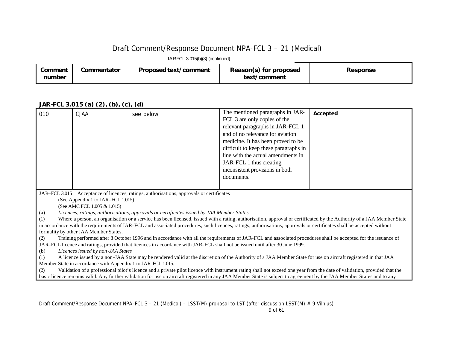JAR-FCL 3.015(b)(3) (continued)

| Comment<br>number | Commentator | Proposed text/comment | Reason(s) for proposed<br>text/comment | <b>Response</b> |
|-------------------|-------------|-----------------------|----------------------------------------|-----------------|
|-------------------|-------------|-----------------------|----------------------------------------|-----------------|

### *JAR-FCL 3.015 (a) (2), (b), (c), (d)*

| 010 | <b>CJAA</b>                                                                              | see below                                                                                                                                                              | The mentioned paragraphs in JAR-      | Accepted                                                                                                                                                                 |  |  |
|-----|------------------------------------------------------------------------------------------|------------------------------------------------------------------------------------------------------------------------------------------------------------------------|---------------------------------------|--------------------------------------------------------------------------------------------------------------------------------------------------------------------------|--|--|
|     |                                                                                          |                                                                                                                                                                        | FCL 3 are only copies of the          |                                                                                                                                                                          |  |  |
|     |                                                                                          |                                                                                                                                                                        | relevant paragraphs in JAR-FCL 1      |                                                                                                                                                                          |  |  |
|     |                                                                                          |                                                                                                                                                                        | and of no relevance for aviation      |                                                                                                                                                                          |  |  |
|     |                                                                                          |                                                                                                                                                                        | medicine. It has been proved to be    |                                                                                                                                                                          |  |  |
|     |                                                                                          |                                                                                                                                                                        | difficult to keep these paragraphs in |                                                                                                                                                                          |  |  |
|     |                                                                                          |                                                                                                                                                                        | line with the actual amendments in    |                                                                                                                                                                          |  |  |
|     |                                                                                          |                                                                                                                                                                        | JAR-FCL 1 thus creating               |                                                                                                                                                                          |  |  |
|     |                                                                                          |                                                                                                                                                                        | inconsistent provisions in both       |                                                                                                                                                                          |  |  |
|     |                                                                                          |                                                                                                                                                                        | documents.                            |                                                                                                                                                                          |  |  |
|     |                                                                                          |                                                                                                                                                                        |                                       |                                                                                                                                                                          |  |  |
|     | JAR–FCL 3.015 Acceptance of licences, ratings, authorisations, approvals or certificates |                                                                                                                                                                        |                                       |                                                                                                                                                                          |  |  |
|     | (See Appendix 1 to JAR–FCL 1.015)                                                        |                                                                                                                                                                        |                                       |                                                                                                                                                                          |  |  |
|     | (See AMC FCL 1.005 & 1.015)                                                              |                                                                                                                                                                        |                                       |                                                                                                                                                                          |  |  |
| (a) |                                                                                          | Licences, ratings, authorisations, approvals or certificates issued by JAA Member States                                                                               |                                       |                                                                                                                                                                          |  |  |
| (1) |                                                                                          |                                                                                                                                                                        |                                       | Where a person, an organisation or a service has been licensed, issued with a rating, authorisation, approval or certificated by the Authority of a JAA Member State     |  |  |
|     |                                                                                          | in accordance with the requirements of JAR-FCL and associated procedures, such licences, ratings, authorisations, approvals or certificates shall be accepted without  |                                       |                                                                                                                                                                          |  |  |
|     | formality by other JAA Member States.                                                    |                                                                                                                                                                        |                                       |                                                                                                                                                                          |  |  |
| (2) |                                                                                          | JAR-FCL licence and ratings, provided that licences in accordance with JAR-FCL shall not be issued until after 30 June 1999.                                           |                                       | Training performed after 8 October 1996 and in accordance with all the requirements of JAR-FCL and associated procedures shall be accepted for the issuance of           |  |  |
| (b) | Licences issued by non-JAA States                                                        |                                                                                                                                                                        |                                       |                                                                                                                                                                          |  |  |
| (1) |                                                                                          | A licence issued by a non-JAA State may be rendered valid at the discretion of the Authority of a JAA Member State for use on aircraft registered in that JAA          |                                       |                                                                                                                                                                          |  |  |
|     | Member State in accordance with Appendix 1 to JAR-FCL 1.015.                             |                                                                                                                                                                        |                                       |                                                                                                                                                                          |  |  |
| (2) |                                                                                          |                                                                                                                                                                        |                                       | Validation of a professional pilot's licence and a private pilot licence with instrument rating shall not exceed one year from the date of validation, provided that the |  |  |
|     |                                                                                          | basic licence remains valid. Any further validation for use on aircraft registered in any JAA Member State is subject to agreement by the JAA Member States and to any |                                       |                                                                                                                                                                          |  |  |
|     |                                                                                          |                                                                                                                                                                        |                                       |                                                                                                                                                                          |  |  |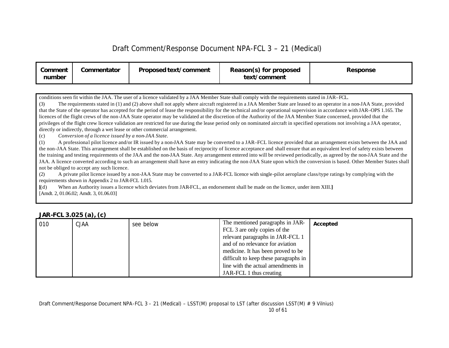| Comment<br>number | Commentator | <b>Proposed text/comment</b> | Reason(s) for proposed<br>text/comment | Response |
|-------------------|-------------|------------------------------|----------------------------------------|----------|
|-------------------|-------------|------------------------------|----------------------------------------|----------|

conditions seen fit within the JAA. The user of a licence validated by a JAA Member State shall comply with the requirements stated in JAR–FCL.

(3) The requirements stated in (1) and (2) above shall not apply where aircraft registered in a JAA Member State are leased to an operator in a non-JAA State, provided that the State of the operator has accepted for the period of lease the responsibility for the technical and/or operational supervision in accordance with JAR–OPS 1.165. The licences of the flight crews of the non-JAA State operator may be validated at the discretion of the Authority of the JAA Member State concerned, provided that the privileges of the flight crew licence validation are restricted for use during the lease period only on nominated aircraft in specified operations not involving a JAA operator, directly or indirectly, through a wet lease or other commercial arrangement.

(c) *Conversion of a licence issued by a non-JAA State.*

(1) A professional pilot licence and/or IR issued by a non-JAA State may be converted to a JAR–FCL licence provided that an arrangement exists between the JAA and the non-JAA State. This arrangement shall be established on the basis of reciprocity of licence acceptance and shall ensure that an equivalent level of safety exists between the training and testing requirements of the JAA and the non-JAA State. Any arrangement entered into will be reviewed periodically, as agreed by the non-JAA State and the JAA. A licence converted according to such an arrangement shall have an entry indicating the non-JAA State upon which the conversion is based. Other Member States shall not be obliged to accept any such licence.

(2) A private pilot licence issued by a non-JAA State may be converted to a JAR-FCL licence with single-pilot aeroplane class/type ratings by complying with the requirements shown in Appendix 2 to JAR-FCL 1.015.

**[**(d) When an Authority issues a licence which deviates from JAR-FCL, an endorsement shall be made on the licence, under item XIII.**]** [Amdt. 2, 01.06.02; Amdt. 3, 01.06.03]

|     | $\cdots$ $\cdots$ $\cdots$ $\cdots$ $\cdots$ $\cdots$ |           |                                       |          |  |
|-----|-------------------------------------------------------|-----------|---------------------------------------|----------|--|
| 010 | CJAA                                                  | see below | The mentioned paragraphs in JAR-      | Accepted |  |
|     |                                                       |           | FCL 3 are only copies of the          |          |  |
|     |                                                       |           | relevant paragraphs in JAR-FCL 1      |          |  |
|     |                                                       |           | and of no relevance for aviation      |          |  |
|     |                                                       |           | medicine. It has been proved to be    |          |  |
|     |                                                       |           | difficult to keep these paragraphs in |          |  |
|     |                                                       |           | line with the actual amendments in    |          |  |
|     |                                                       |           | JAR-FCL 1 thus creating               |          |  |

### *JAR-FCL 3.025 (a), (c)*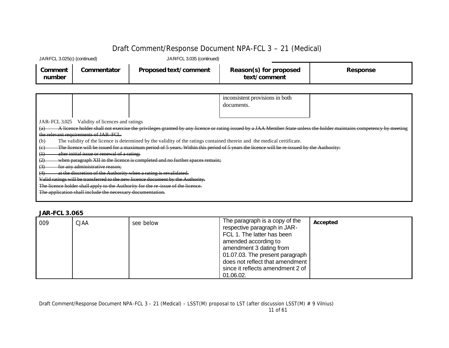| JARFCL 3.025(c) (continued) |             | JARFCL 3.035 (continued)     |                                        |          |
|-----------------------------|-------------|------------------------------|----------------------------------------|----------|
| Comment<br>number           | Commentator | <b>Proposed text/comment</b> | Reason(s) for proposed<br>text/comment | Response |

|                                                                                  |                                                |                                                                                 | inconsistent provisions in both                                                                                                           |  |                                                                                                                                                                    |
|----------------------------------------------------------------------------------|------------------------------------------------|---------------------------------------------------------------------------------|-------------------------------------------------------------------------------------------------------------------------------------------|--|--------------------------------------------------------------------------------------------------------------------------------------------------------------------|
|                                                                                  |                                                |                                                                                 | documents.                                                                                                                                |  |                                                                                                                                                                    |
|                                                                                  |                                                |                                                                                 |                                                                                                                                           |  |                                                                                                                                                                    |
|                                                                                  | JAR–FCL 3.025 Validity of licences and ratings |                                                                                 |                                                                                                                                           |  |                                                                                                                                                                    |
| (a)                                                                              |                                                |                                                                                 |                                                                                                                                           |  | A licence holder shall not exercise the privileges granted by any licence or rating issued by a JAA Member State unless the holder maintains competency by meeting |
|                                                                                  | the relevant requirements of JAR FCL.          |                                                                                 |                                                                                                                                           |  |                                                                                                                                                                    |
| (b)                                                                              |                                                |                                                                                 | The validity of the licence is determined by the validity of the ratings contained therein and the medical certificate.                   |  |                                                                                                                                                                    |
| $\left(\epsilon\right)$                                                          |                                                |                                                                                 | The licence will be issued for a maximum period of 5 years. Within this period of 5 years the licence will be re-issued by the Authority: |  |                                                                                                                                                                    |
| $\oplus$                                                                         | after initial issue or renewal of a rating;    |                                                                                 |                                                                                                                                           |  |                                                                                                                                                                    |
| (2)                                                                              |                                                | when paragraph XII in the licence is completed and no further spaces remain;    |                                                                                                                                           |  |                                                                                                                                                                    |
| for any administrative reason;<br>(3)                                            |                                                |                                                                                 |                                                                                                                                           |  |                                                                                                                                                                    |
| (4)                                                                              |                                                | at the discretion of the Authority when a rating is revalidated.                |                                                                                                                                           |  |                                                                                                                                                                    |
|                                                                                  |                                                | Valid ratings will be transferred to the new licence document by the Authority. |                                                                                                                                           |  |                                                                                                                                                                    |
| The licence holder shall apply to the Authority for the re-issue of the licence. |                                                |                                                                                 |                                                                                                                                           |  |                                                                                                                                                                    |
| The application shall include the necessary documentation.                       |                                                |                                                                                 |                                                                                                                                           |  |                                                                                                                                                                    |
|                                                                                  |                                                |                                                                                 |                                                                                                                                           |  |                                                                                                                                                                    |

### *JAR-FCL 3.065*

| 009 | <b>CJAA</b> | see below | The paragraph is a copy of the<br>respective paragraph in JAR-<br>FCL 1. The latter has been<br>amended according to<br>amendment 3 dating from<br>01.07.03. The present paragraph<br>does not reflect that amendment | Accepted |
|-----|-------------|-----------|-----------------------------------------------------------------------------------------------------------------------------------------------------------------------------------------------------------------------|----------|
|     |             |           | since it reflects amendment 2 of<br>01.06.02.                                                                                                                                                                         |          |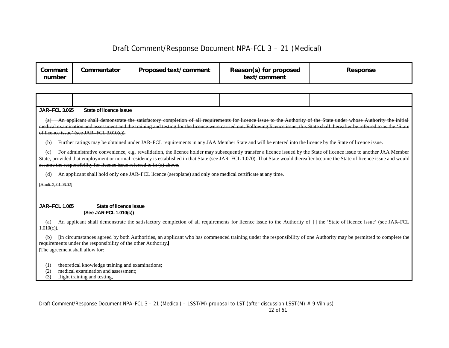| Comment<br>number | Commentator | Proposed text/comment | Reason(s) for proposed<br>text/comment | <b>Response</b> |
|-------------------|-------------|-----------------------|----------------------------------------|-----------------|
|-------------------|-------------|-----------------------|----------------------------------------|-----------------|

An applicant shall demonstrate the satisfactory completion of all requirements for licence issue to the Authority of the State under whose Authority the initial medical examination and assessment and the training and testing for the licence were carried out. Following licence issue, this State shall thereafter be referred to as the 'State of licence issue' (see JAR–FCL 3.010(c)).

(b) Further ratings may be obtained under JAR–FCL requirements in any JAA Member State and will be entered into the licence by the State of licence issue.

For administrative convenience, e.g. revalidation, the licence holder may subsequently transfer a licence issued by the State of licence issue to another JAA Member State, provided that employment or normal residency is established in that State (see JAR–FCL 1.070). That State would thereafter become the State of licence issue and would assume the responsibility for licence issue referred to in (a) above.

(d) An applicant shall hold only one JAR–FCL licence (aeroplane) and only one medical certificate at any time.

[Amdt. 2, 01.06.02]

#### **JAR–FCL 1.065 State of licence issue (See JAR–FCL 1.010(c))**

(a) An applicant shall demonstrate the satisfactory completion of all requirements for licence issue to the Authority of **[ ]** the 'State of licence issue' (see JAR–FCL 1.010(c)).

(b) **[**In circumstances agreed by both Authorities, an applicant who has commenced training under the responsibility of one Authority may be permitted to complete the requirements under the responsibility of the other Authority.**] [**The agreement shall allow for:

(1) theoretical knowledge training and examinations;

(2) medical examination and assessment;

(3) flight training and testing,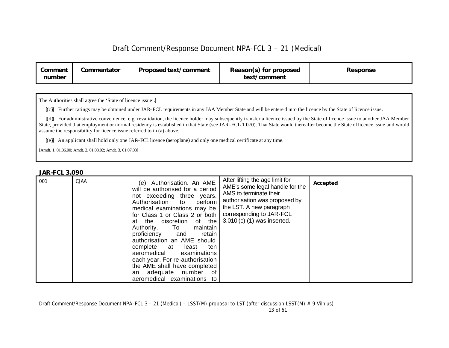| <b>Proposed text/comment</b><br>Commentator<br>Reason(s) for proposed<br>Comment<br>text/comment<br>number | <b>Response</b> |
|------------------------------------------------------------------------------------------------------------|-----------------|
|------------------------------------------------------------------------------------------------------------|-----------------|

The Authorities shall agree the 'State of licence issue'.**]**

**[**(c)**]** Further ratings may be obtained under JAR–FCL requirements in any JAA Member State and will be entere d into the licence by the State of licence issue.

**[**(d)**]** For administrative convenience, e.g. revalidation, the licence holder may subsequently transfer a licence issued by the State of licence issue to another JAA Member State, provided that employment or normal residency is established in that State (see JAR–FCL 1.070). That State would thereafter become the State of licence issue and would assume the responsibility for licence issue referred to in (a) above.

**[**(e)**]** An applicant shall hold only one JAR–FCL licence (aeroplane) and only one medical certificate at any time.

[Amdt. 1, 01.06.00; Amdt. 2, 01.08.02; Amdt. 3, 01.07.03]

### *JAR-FCL 3.090*

| 001 | <b>CJAA</b> | (e) Authorisation. An AME<br>will be authorised for a period<br>not exceeding three years.<br>Authorisation to<br>perform<br>medical examinations may be<br>for Class 1 or Class 2 or both<br>at the discretion of the<br>To maintain<br>Authority.<br>retain<br>proficiency and<br>authorisation an AME should<br>complete at least<br>ten<br>aeromedical examinations<br>each year. For re-authorisation<br>the AME shall have completed<br>an adequate number of | After lifting the age limit for<br>AME's some legal handle for the<br>AMS to terminate their<br>authorisation was proposed by<br>the LST. A new paragraph<br>corresponding to JAR-FCL<br>3.010 (c) (1) was inserted. | Accepted |
|-----|-------------|---------------------------------------------------------------------------------------------------------------------------------------------------------------------------------------------------------------------------------------------------------------------------------------------------------------------------------------------------------------------------------------------------------------------------------------------------------------------|----------------------------------------------------------------------------------------------------------------------------------------------------------------------------------------------------------------------|----------|
|     |             | aeromedical examinations to                                                                                                                                                                                                                                                                                                                                                                                                                                         |                                                                                                                                                                                                                      |          |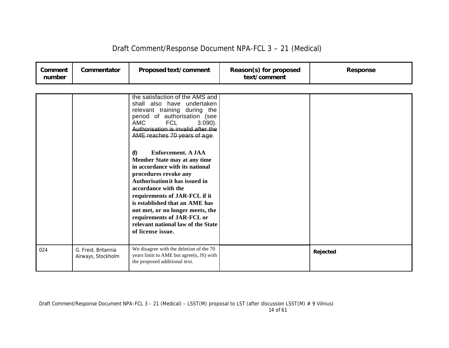| Comment<br>number | Commentator                               | Proposed text/comment                                                                                                                                                                                                                                                                                                                                                          | Reason(s) for proposed<br>text/comment | <b>Response</b> |
|-------------------|-------------------------------------------|--------------------------------------------------------------------------------------------------------------------------------------------------------------------------------------------------------------------------------------------------------------------------------------------------------------------------------------------------------------------------------|----------------------------------------|-----------------|
|                   |                                           |                                                                                                                                                                                                                                                                                                                                                                                |                                        |                 |
|                   |                                           | the satisfaction of the AMS and<br>shall also have undertaken<br>relevant training during the<br>period of authorisation (see<br><b>AMC</b><br><b>FCL</b><br>$3.090$ ).<br>Authorisation is invalid after the<br>AME reaches 70 years of age.                                                                                                                                  |                                        |                 |
|                   |                                           | Enforcement. A JAA<br>(f)<br>Member State may at any time<br>in accordance with its national<br>procedures revoke any<br>Authorisation it has issued in<br>accordance with the<br>requirements of JAR-FCL if it<br>is established that an AME has<br>not met, or no longer meets, the<br>requirements of JAR-FCL or<br>relevant national law of the State<br>of license issue. |                                        |                 |
| 024               | G. Freid, Britannia<br>Airways, Stockholm | We disagree with the deletion of the 70<br>years limit to AME but agree(s, JS) with<br>the proposed additional text.                                                                                                                                                                                                                                                           |                                        | Rejected        |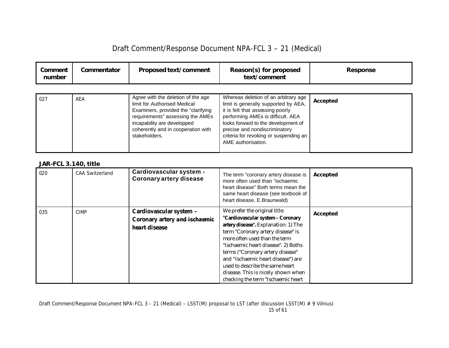|  | Draft Comment/Response Document NPA-FCL 3 - 21 (Medical) |
|--|----------------------------------------------------------|
|--|----------------------------------------------------------|

| Comment<br>number | Commentator | <b>Proposed text/comment</b>                                                                                                                                                                                                        | Reason(s) for proposed<br>text/comment                                                                                                                                                                                                                                                        | <b>Response</b> |
|-------------------|-------------|-------------------------------------------------------------------------------------------------------------------------------------------------------------------------------------------------------------------------------------|-----------------------------------------------------------------------------------------------------------------------------------------------------------------------------------------------------------------------------------------------------------------------------------------------|-----------------|
| 027               | AEA         | Agree with the deletion of the age<br>limit for Authorised Medical<br>Examiners, provided the "clarifying<br>requirements" assessing the AMEs<br>incapability are developped<br>coherently and in cooperation with<br>stakeholders. | Whereas deletion of an arbitrary age<br>limit is generally supported by AEA,<br>it is felt that assessing poorly<br>performing AMEs is difficult. AEA<br>looks forward to the development of<br>precise and nondiscriminatory<br>criteria for revoking or suspending an<br>AME authorisation. | Accepted        |

### *JAR-FCL 3.140, title*

| 020 | <b>CAA Switzerland</b> | Cardiovascular system -<br><b>Coronary artery disease</b>                        | The term "coronary artery disease is<br>more often used than "ischaemic<br>heart disease" Both terms mean the<br>same heart disease (see textbook of<br>heart disease, E.Braunwald)                                                                                                                                                                                                                              | Accepted |
|-----|------------------------|----------------------------------------------------------------------------------|------------------------------------------------------------------------------------------------------------------------------------------------------------------------------------------------------------------------------------------------------------------------------------------------------------------------------------------------------------------------------------------------------------------|----------|
| 035 | <b>CIMP</b>            | Cardiovascular system -<br>Coronary artery and ischaemic<br><i>heart</i> disease | We prefer the original title:<br>"Cardiovascular system - Coronary<br>artery disease". Explanation: 1) The<br>term "Coronary artery disease" is<br>more often used than the term<br>"Ischaemic heart disease". 2) Boths<br>terms ("Coronary artery disease"<br>and "Ischaemic heart disease") are<br>used to describe the same heart<br>disease. This is nicely shown when<br>checking the term "Ischaemic heart | Accepted |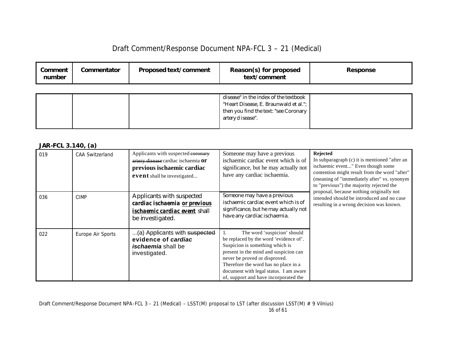| Comment<br>number | Commentator | <b>Proposed text/comment</b> | Reason(s) for proposed<br>text/comment                                                                                                      | Response |
|-------------------|-------------|------------------------------|---------------------------------------------------------------------------------------------------------------------------------------------|----------|
|                   |             |                              | disease" in the index of the textbook<br>"Heart Disease, E. Braunwald et al.";<br>then you find the text: "see Coronary<br>artery disease". |          |

### *JAR-FCL 3.140, (a)*

| 019 | <b>CAA Switzerland</b> | Applicants with suspected coronary<br>artery disease cardiac ischaemia Or<br>previous ischaemic cardiac<br>event shall be investigated | Someone may have a previous<br>ischaemic cardiac event which is of<br>significance, but he may actually not<br>have any cardiac ischaemia.                                                                                                                                                                    | <b>Rejected</b><br>In subparagraph $(c)$ it is mentioned "after an<br>ischaemic event" Even though some<br>contention might result from the word "after"<br>(meaning of "immediately after" vs. synonym<br>to "previous") the majority rejected the |
|-----|------------------------|----------------------------------------------------------------------------------------------------------------------------------------|---------------------------------------------------------------------------------------------------------------------------------------------------------------------------------------------------------------------------------------------------------------------------------------------------------------|-----------------------------------------------------------------------------------------------------------------------------------------------------------------------------------------------------------------------------------------------------|
| 036 | <b>CIMP</b>            | Applicants with suspected<br>cardiac ischaemia or previous<br><i>ischaemic cardiac event shall</i><br>be investigated.                 | Someone may have a previous<br>ischaemic cardiac event which is of<br>significance, but he may actually not<br>have any cardiac ischaemia.                                                                                                                                                                    | proposal, because nothing originally not<br>intended should be introduced and no case<br>resulting in a wrong decision was known.                                                                                                                   |
| 022 | Europe Air Sports      | (a) Applicants with suspected<br>evidence of cardiac<br><i>ischaemia</i> shall be<br>investigated.                                     | The word 'suspicion' should<br>be replaced by the word 'evidence of'.<br>Suspicion is something which is<br>present in the mind and suspicion can<br>never be proved or disproved.<br>Therefore the word has no place in a<br>document with legal status. I am aware<br>of, support and have incorporated the |                                                                                                                                                                                                                                                     |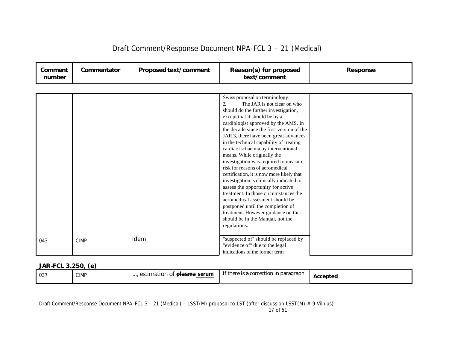| Comment<br>number | Commentator | Proposed text/comment | Reason(s) for proposed<br>text/comment                                                                                                                                                                                                                                                                                                                                                                                                                                                                                                                                                                                                                                                                                                                                                                            | <b>Response</b> |
|-------------------|-------------|-----------------------|-------------------------------------------------------------------------------------------------------------------------------------------------------------------------------------------------------------------------------------------------------------------------------------------------------------------------------------------------------------------------------------------------------------------------------------------------------------------------------------------------------------------------------------------------------------------------------------------------------------------------------------------------------------------------------------------------------------------------------------------------------------------------------------------------------------------|-----------------|
|                   |             |                       |                                                                                                                                                                                                                                                                                                                                                                                                                                                                                                                                                                                                                                                                                                                                                                                                                   |                 |
|                   |             |                       | Swiss proposal on terminology.<br>The JAR is not clear on who<br>2.<br>should do the further investigation,<br>except that it should be by a<br>cardiologist approved by the AMS. In<br>the decade since the first version of the<br>JAR 3, there have been great advances<br>in the technical capability of treating<br>cardiac ischaemia by interventional<br>means. While originally the<br>investigation was required to measure<br>risk for reasons of aeromedical<br>certification, it is now more likely that<br>investigation is clinically indicated to<br>assess the opportunity for active<br>treatment. In those circumstances the<br>aeromedical assesment should be<br>postponed until the completion of<br>treatment. However guidance on this<br>should be in the Manual, not the<br>regulations. |                 |
| 043               | <b>CIMP</b> | idem                  | "suspected of" should be replaced by<br>"evidence of" due to the legal<br>imlications of the former term                                                                                                                                                                                                                                                                                                                                                                                                                                                                                                                                                                                                                                                                                                          |                 |

### *JAR-FCL 3.250, (e)*

| $\cdots$<br>accepted | 037 | <b>CIMP</b> | serum<br>plasma<br>$\alpha$ <sup>+</sup><br>estimation of | If there is a correction in $\mathbf i$<br>ı paragraph |  |
|----------------------|-----|-------------|-----------------------------------------------------------|--------------------------------------------------------|--|
|----------------------|-----|-------------|-----------------------------------------------------------|--------------------------------------------------------|--|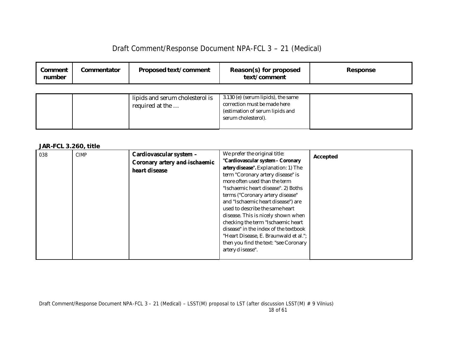| Draft Comment/Response Document NPA-FCL 3 - 21 (Medical) |  |  |  |
|----------------------------------------------------------|--|--|--|
|----------------------------------------------------------|--|--|--|

| Comment<br>number | Commentator | <b>Proposed text/comment</b>                       | Reason(s) for proposed<br>text/comment                                                                                       | Response |
|-------------------|-------------|----------------------------------------------------|------------------------------------------------------------------------------------------------------------------------------|----------|
|                   |             | lipids and serum cholesterol is<br>required at the | 3.130 (e) (serum lipids), the same<br>correction must be made here<br>(estimation of serum lipids and<br>serum cholesterol). |          |

### *JAR-FCL 3.260, title*

| 038 | <b>CIMP</b> | Cardiovascular system -<br>Coronary artery and ischaemic | We prefer the original title:<br>"Cardiovascular system - Coronary                                                                                                                                                                                                                                                                                                                                                                                                                        | Accepted |
|-----|-------------|----------------------------------------------------------|-------------------------------------------------------------------------------------------------------------------------------------------------------------------------------------------------------------------------------------------------------------------------------------------------------------------------------------------------------------------------------------------------------------------------------------------------------------------------------------------|----------|
|     |             | heart disease                                            | artery disease". Explanation: 1) The<br>term "Coronary artery disease" is<br>more often used than the term<br>"Ischaemic heart disease". 2) Boths<br>terms ("Coronary artery disease"<br>and "Ischaemic heart disease") are<br>used to describe the same heart<br>disease. This is nicely shown when<br>checking the term "Ischaemic heart<br>disease" in the index of the textbook<br>"Heart Disease, E. Braunwald et al.";<br>then you find the text: "see Coronary<br>artery disease". |          |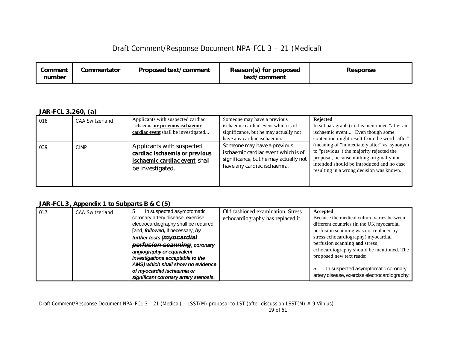| Commentator<br>Proposed text/comment<br>Comment<br>number | Reason(s) for proposed<br>text/comment | <b>Response</b> |
|-----------------------------------------------------------|----------------------------------------|-----------------|
|-----------------------------------------------------------|----------------------------------------|-----------------|

### *JAR-FCL 3.260, (a)*

| 018 | <b>CAA Switzerland</b> | Applicants with suspected cardiac<br>ischaemia or previous ischaemic<br>cardiac event shall be investigated            | Someone may have a previous<br>ischaemic cardiac event which is of<br>significance, but he may actually not<br>have any cardiac ischaemia. | Rejected<br>In subparagraph (c) it is mentioned "after an<br>ischaemic event" Even though some<br>contention might result from the word "after"                                                                              |
|-----|------------------------|------------------------------------------------------------------------------------------------------------------------|--------------------------------------------------------------------------------------------------------------------------------------------|------------------------------------------------------------------------------------------------------------------------------------------------------------------------------------------------------------------------------|
| 039 | <b>CIMP</b>            | Applicants with suspected<br>cardiac ischaemia or previous<br><i>ischaemic cardiac event shall</i><br>be investigated. | Someone may have a previous<br>ischaemic cardiac event which is of<br>significance, but he may actually not<br>have any cardiac ischaemia. | (meaning of "immediately after" vs. synonym<br>to "previous") the majority rejected the<br>proposal, because nothing originally not<br>intended should be introduced and no case<br>resulting in a wrong decision was known. |

### *JAR-FCL 3, Appendix 1 to Subparts B & C (5)*

| 017 | <b>CAA Switzerland</b> | In suspected asymptomatic               | Old fashioned examination. Stress | Accepted                                     |
|-----|------------------------|-----------------------------------------|-----------------------------------|----------------------------------------------|
|     |                        | coronary artery disease, exercise       | echocardiography has replaced it. | Because the medical culture varies between   |
|     |                        | electrocardiography shall be required   |                                   | different countries (in the UK myocardial    |
|     |                        | <b>Fand, followed, if necessary, by</b> |                                   | perfusion scanning was not replaced by       |
|     |                        | further tests (myocardial               |                                   | stress echocardiography) myocardial          |
|     |                        | perfusion scanning, coronary            |                                   | perfusion scanning and stress                |
|     |                        | angiography or equivalent               |                                   | echocardiography should be mentioned. The    |
|     |                        | investigations acceptable to the        |                                   | proposed new text reads:                     |
|     |                        | AMS) which shall show no evidence       |                                   |                                              |
|     |                        | of myocardial ischaemia or              |                                   | In suspected asymptomatic coronary           |
|     |                        | significant coronary artery stenosis.   |                                   | artery disease, exercise electrocardiography |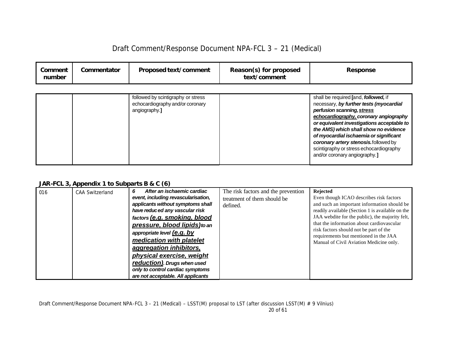| Draft Comment/Response Document NPA-FCL 3 - 21 (Medical) |  |
|----------------------------------------------------------|--|
|----------------------------------------------------------|--|

| Comment<br>number | Commentator | Proposed text/comment                                                                   | Reason(s) for proposed<br>text/comment | Response                                                                                                                                                                                                                                                                                                                                                                                                     |
|-------------------|-------------|-----------------------------------------------------------------------------------------|----------------------------------------|--------------------------------------------------------------------------------------------------------------------------------------------------------------------------------------------------------------------------------------------------------------------------------------------------------------------------------------------------------------------------------------------------------------|
|                   |             | followed by scintigraphy or stress<br>echocardiography and/or coronary<br>angiography.] |                                        | shall be required [and, followed, if<br>necessary, by further tests (myocardial<br>perfusion scanning, stress<br>echocardiography, coronary angiography<br>or equivalent investigations acceptable to<br>the AMS) which shall show no evidence<br>of myocardial ischaemia or significant<br>coronary artery stenosis.followed by<br>scintigraphy or stress echocardiography<br>and/or coronary angiography.] |

### *JAR-FCL 3, Appendix 1 to Subparts B & C (6)*

| 016 | <b>CAA Switzerland</b> | After an ischaemic cardiac<br>6<br>event, including revascularisation,<br>applicants without symptoms shall<br>have reduced any vascular risk<br>factors (e.g. smoking, blood<br>pressure, blood lipids) to an<br>appropriate level (e.g. by<br>medication with platelet<br>aggregation inhibitors, | The risk factors and the prevention<br>treatment of them should be<br>defined. | <b>Rejected</b><br>Even though ICAO describes risk factors<br>and such an important information should be<br>readily available (Section 1 is available on the<br>JAA webdite for the public), the majority felt,<br>that the information about cardiovascular<br>risk factors should not be part of the<br>requirements but mentioned in the JAA<br>Manual of Civil Aviation Medicine only. |
|-----|------------------------|-----------------------------------------------------------------------------------------------------------------------------------------------------------------------------------------------------------------------------------------------------------------------------------------------------|--------------------------------------------------------------------------------|---------------------------------------------------------------------------------------------------------------------------------------------------------------------------------------------------------------------------------------------------------------------------------------------------------------------------------------------------------------------------------------------|
|     |                        | physical exercise, weight<br>reduction). Drugs when used<br>only to control cardiac symptoms<br>are not acceptable. All applicants                                                                                                                                                                  |                                                                                |                                                                                                                                                                                                                                                                                                                                                                                             |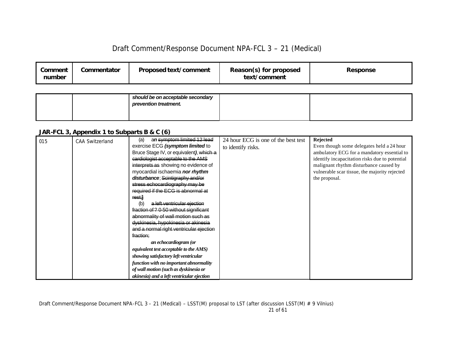| Comment<br>number | Commentator | <b>Proposed text/comment</b> | Reason(s) for proposed<br>text/comment | <b>Response</b> |
|-------------------|-------------|------------------------------|----------------------------------------|-----------------|
|                   |             |                              |                                        |                 |

|  | should be on acceptable secondary<br>prevention treatment. |  |
|--|------------------------------------------------------------|--|
|  |                                                            |  |

# *JAR-FCL 3, Appendix 1 to Subparts B & C (6)*

| 015 | <b>CAA Switzerland</b> | an symptom limited 12 lead<br>(a)         | 24 hour ECG is one of the best test | Rejected                                       |
|-----|------------------------|-------------------------------------------|-------------------------------------|------------------------------------------------|
|     |                        | exercise ECG (symptom limited to          | to identify risks.                  | Even though some delegates held a 24 hour      |
|     |                        | Bruce Stage IV, or equivalent), which a   |                                     | ambulatory ECG for a mandatory essential to    |
|     |                        | cardiologist acceptable to the AMS        |                                     | identify incapacitation risks due to potential |
|     |                        | interprets as showing no evidence of      |                                     | malignant rhythm disturbance caused by         |
|     |                        | myocardial ischaemia nor rhythm           |                                     | vulnerable scar tissue, the majority rejected  |
|     |                        | disturbance; Scintigraphy and/or          |                                     | the proposal.                                  |
|     |                        | stress echocardiography may be            |                                     |                                                |
|     |                        | required if the ECG is abnormal at        |                                     |                                                |
|     |                        | rest;]                                    |                                     |                                                |
|     |                        | a left ventricular ejection<br>(b)        |                                     |                                                |
|     |                        | fraction of ? 0-50 without significant    |                                     |                                                |
|     |                        | abnormality of wall motion such as        |                                     |                                                |
|     |                        | dyskinesia, hypokinesia or akinesia       |                                     |                                                |
|     |                        | and a normal right ventricular ejection   |                                     |                                                |
|     |                        | fraction;                                 |                                     |                                                |
|     |                        | an echocardiogram (or                     |                                     |                                                |
|     |                        | equivalent test acceptable to the AMS)    |                                     |                                                |
|     |                        | showing satisfactory left ventricular     |                                     |                                                |
|     |                        | function with no important abnormality    |                                     |                                                |
|     |                        | of wall motion (such as dyskinesia or     |                                     |                                                |
|     |                        | akinesia) and a left ventricular ejection |                                     |                                                |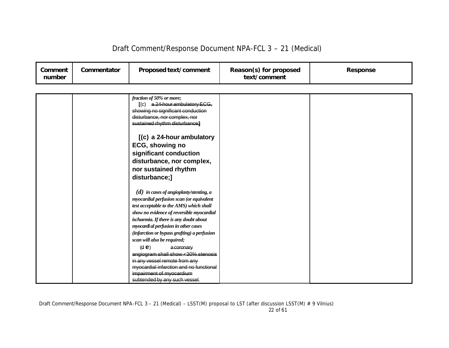| Comment<br>number | Commentator | Proposed text/comment                                                                                                                                                                                                                                                                                                                                                                                                                                                                                                                                                                                                                                                                       | Reason(s) for proposed<br>text/comment | <b>Response</b> |
|-------------------|-------------|---------------------------------------------------------------------------------------------------------------------------------------------------------------------------------------------------------------------------------------------------------------------------------------------------------------------------------------------------------------------------------------------------------------------------------------------------------------------------------------------------------------------------------------------------------------------------------------------------------------------------------------------------------------------------------------------|----------------------------------------|-----------------|
|                   |             |                                                                                                                                                                                                                                                                                                                                                                                                                                                                                                                                                                                                                                                                                             |                                        |                 |
|                   |             | fraction of 50% or more;<br>$(C)$ a 24-hour ambulatory ECG,<br>showing no significant conduction<br>disturbance, nor complex, nor<br>sustained rhythm disturbance;<br>$(c)$ a 24-hour ambulatory<br>ECG, showing no<br>significant conduction<br>disturbance, nor complex,<br>nor sustained rhythm<br>disturbance;]<br>$(d)$ in cases of angioplasty/stenting, a<br>myocardial perfusion scan (or equivalent<br>test acceptable to the AMS) which shall<br>show no evidence of reversible myocardial<br>ischaemia. If there is any doubt about<br>myocardi al perfusion in other cases<br>(infarction or bypass grafting) a perfusion<br>scan will also be required;<br>(d e)<br>a coronary |                                        |                 |
|                   |             | angiogram shall show <30% stenosis<br>in any vessel remote from any                                                                                                                                                                                                                                                                                                                                                                                                                                                                                                                                                                                                                         |                                        |                 |
|                   |             | myocardial infarction and no functional                                                                                                                                                                                                                                                                                                                                                                                                                                                                                                                                                                                                                                                     |                                        |                 |
|                   |             | impairment of myocardium                                                                                                                                                                                                                                                                                                                                                                                                                                                                                                                                                                                                                                                                    |                                        |                 |
|                   |             | subtended by any such vessel.                                                                                                                                                                                                                                                                                                                                                                                                                                                                                                                                                                                                                                                               |                                        |                 |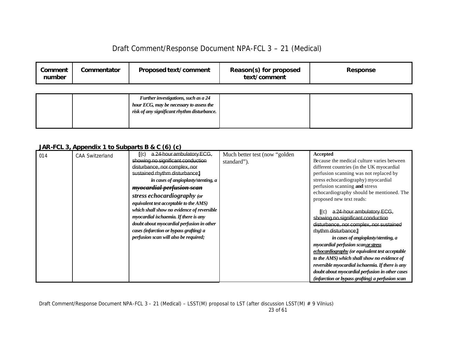| Draft Comment/Response Document NPA-FCL 3 - 21 (Medical) |  |  |  |
|----------------------------------------------------------|--|--|--|
|----------------------------------------------------------|--|--|--|

| Comment<br>number | Commentator | <b>Proposed text/comment</b> | Reason(s) for proposed<br>text/comment | Response |
|-------------------|-------------|------------------------------|----------------------------------------|----------|
|                   |             |                              |                                        |          |

|  | Further investigations, such as a 24        |  |
|--|---------------------------------------------|--|
|  | hour ECG, may be necessary to assess the    |  |
|  | risk of any significant rhythm disturbance. |  |
|  |                                             |  |
|  |                                             |  |

### *JAR-FCL 3, Appendix 1 to Subparts B & C (6) (c)*

| 014 | <b>CAA Switzerland</b> | a 24-hour ambulatory ECG.<br>$\mathbf{I}(\mathbf{C})$ | Much better test (now "golden" | <b>Accepted</b>                                  |
|-----|------------------------|-------------------------------------------------------|--------------------------------|--------------------------------------------------|
|     |                        | showing no significant conduction                     | standard").                    | Because the medical culture varies between       |
|     |                        | disturbance, nor complex, nor                         |                                | different countries (in the UK myocardial        |
|     |                        | sustained rhythm disturbance;                         |                                | perfusion scanning was not replaced by           |
|     |                        | in cases of angioplasty/stenting, a                   |                                | stress echocardiography) myocardial              |
|     |                        | <i><b>myocardial perfusion scan</b></i>               |                                | perfusion scanning and stress                    |
|     |                        | stress echocardiography (or                           |                                | echocardiography should be mentioned. The        |
|     |                        | equivalent test acceptable to the AMS)                |                                | proposed new text reads:                         |
|     |                        | which shall show no evidence of reversible            |                                |                                                  |
|     |                        |                                                       |                                | a 24-hour ambulatory ECG.<br>I(c)                |
|     |                        | myocardial ischaemia. If there is any                 |                                | showing no significant conduction                |
|     |                        | doubt about myocardial perfusion in other             |                                | disturbance, nor complex, nor sustained          |
|     |                        | cases (infarction or bypass grafting) a               |                                | rhythm disturbance:                              |
|     |                        | perfusion scan will also be required;                 |                                | in cases of angioplasty/stenting, a              |
|     |                        |                                                       |                                | myocardial perfusion scan or stress              |
|     |                        |                                                       |                                | echocardiography (or equivalent test acceptable  |
|     |                        |                                                       |                                | to the AMS) which shall show no evidence of      |
|     |                        |                                                       |                                | reversible myocardial ischaemia. If there is any |
|     |                        |                                                       |                                | doubt about myocardial perfusion in other cases  |
|     |                        |                                                       |                                | (infarction or bypass grafting) a perfusion scan |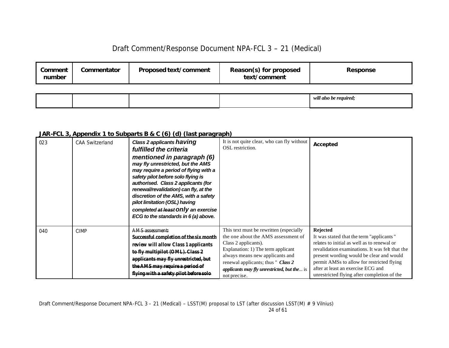| Comment<br>number | Commentator | Proposed text/comment | Reason(s) for proposed<br>text/comment | Response               |
|-------------------|-------------|-----------------------|----------------------------------------|------------------------|
|                   |             |                       |                                        |                        |
|                   |             |                       |                                        | will also be required; |

### *JAR-FCL 3, Appendix 1 to Subparts B & C (6) (d) (last paragraph)*

| 023 | <b>CAA Switzerland</b> | Class 2 applicants having<br>fulfilled the criteria<br>mentioned in paragraph (6)<br>may fly unrestricted, but the AMS<br>may require a period of flying with a<br>safety pilot before solo flying is<br>authorised. Class 2 applicants (for<br>renewal/revalidation) can fly, at the<br>discretion of the AMS, with a safety<br>pilot limitation (OSL) having<br>completed at least Only an exercise<br>ECG to the standards in 6 (a) above. | It is not quite clear, who can fly without<br>OSL restriction.                                                                                                                                                                                                                              | Accepted                                                                                                                                                                                                                                                                                                                                     |
|-----|------------------------|-----------------------------------------------------------------------------------------------------------------------------------------------------------------------------------------------------------------------------------------------------------------------------------------------------------------------------------------------------------------------------------------------------------------------------------------------|---------------------------------------------------------------------------------------------------------------------------------------------------------------------------------------------------------------------------------------------------------------------------------------------|----------------------------------------------------------------------------------------------------------------------------------------------------------------------------------------------------------------------------------------------------------------------------------------------------------------------------------------------|
| 040 | <b>CIMP</b>            | AMS assessment:<br>Successful completion of the six month<br>review will allow Class 1 applicants<br>to fly multipilot (OML). Class 2<br>applicants may fly unrestricted, but<br>the AMS may require a period of<br>flying with a safety pilot before solo                                                                                                                                                                                    | This text must be rewritten (especially<br>the one about the AMS assessment of<br>Class 2 applicants).<br>Explanation: 1) The term applicant<br>always means new applicants and<br>renewal applicants; thus " Class 2<br><i>applicants may fly unrestricted, but the is</i><br>not precise. | <b>Rejected</b><br>It was stated that the term "applicants"<br>relates to initial as well as to renewal or<br>revalidation examinations. It was felt that the<br>present wording would be clear and would<br>permit AMSs to allow for restricted flying<br>after at least an exercise ECG and<br>unrestricted flying after completion of the |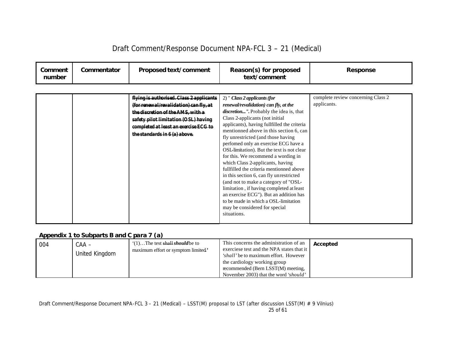| Comment<br>number | Commentator | Proposed text/comment                                                                                                                                                                                                                     | Reason(s) for proposed<br>text/comment                                                                                                                                                                                                                                                                                                                                                                                                                                                                                                                                                                                                                                                                                                                              | <b>Response</b>                                   |
|-------------------|-------------|-------------------------------------------------------------------------------------------------------------------------------------------------------------------------------------------------------------------------------------------|---------------------------------------------------------------------------------------------------------------------------------------------------------------------------------------------------------------------------------------------------------------------------------------------------------------------------------------------------------------------------------------------------------------------------------------------------------------------------------------------------------------------------------------------------------------------------------------------------------------------------------------------------------------------------------------------------------------------------------------------------------------------|---------------------------------------------------|
|                   |             | flying is authorised. Class 2 applicants<br>(for renewal/revalidation) can fly, at<br>the discretion of the AMS, with a<br>safety pilot limitation (OSL) having<br>completed at least an exercise ECG to<br>the standards in 6 (a) above. | $2)$ " Class 2 applicants (for<br>renewal/revalidation) can fly, at the<br>discretion". Probably the idea is, that<br>Class 2-applicants (not initial<br>applicants), having fullfilled the criteria<br>mentionned above in this section 6, can<br>fly unrestricted (and those having<br>perfomed only an exercise ECG have a<br>OSL-limitation). But the text is not clear<br>for this. We recommend a wording in<br>which Class 2-applicants, having<br>fullfilled the criteria mentionned above<br>in this section 6, can fly unrestricted<br>(and not to make a category of "OSL-<br>limitation, if having completed at least<br>an exercise ECG"). But an addition has<br>to be made in which a OSL-limitation<br>may be considered for special<br>situations. | complete review concerning Class 2<br>applicants. |

### *Appendix 1 to Subparts B and C para 7 (a)*

| 004 | $CAA -$<br>United Kingdom | $(1)$ The test shall <i>should</i> be to<br>maximum effort or symptom limited' | This concerns the administration of an<br>exerciese test and the NPA states that it<br><i>'shall'</i> be to maximum effort. However<br>the cardiology working group<br>recommended (Bern LSST(M) meeting, | Accepted |
|-----|---------------------------|--------------------------------------------------------------------------------|-----------------------------------------------------------------------------------------------------------------------------------------------------------------------------------------------------------|----------|
|     |                           |                                                                                | November 2003) that the word 'should'                                                                                                                                                                     |          |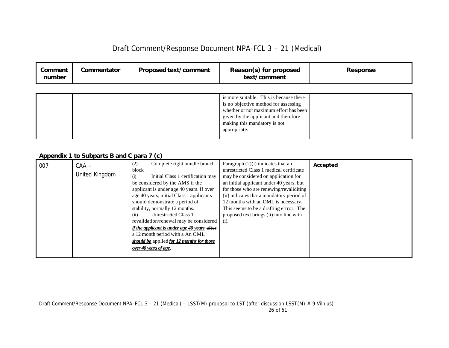| Comment<br>number | Commentator | <b>Proposed text/comment</b> | Reason(s) for proposed<br>text/comment                                                                                                                                                                            | <b>Response</b> |
|-------------------|-------------|------------------------------|-------------------------------------------------------------------------------------------------------------------------------------------------------------------------------------------------------------------|-----------------|
|                   |             |                              | is more suitable. This is because there<br>is no objective method for assessing<br>whether or not maximum effort has been<br>given by the applicant and therefore<br>making this mandatory is not<br>appropriate. |                 |

### *Appendix 1 to Subparts B and C para 7 (c)*

| 007 | $CAA -$        | Complete right bundle branch<br>(2)           | Paragraph $(2)(i)$ indicates that an      | Accepted |
|-----|----------------|-----------------------------------------------|-------------------------------------------|----------|
|     |                | block                                         | unrestricted Class 1 medical certificate  |          |
|     | United Kingdom | Initial Class 1 certification may<br>(i)      | may be considered on application for      |          |
|     |                | be considered by the AMS if the               | an initial applicant under 40 years, but  |          |
|     |                | applicant is under age 40 years. If over      | for those who are renewing/revaliditing   |          |
|     |                | age 40 years, initial Class 1 applicants      | (ii) indicates that a mandatory period of |          |
|     |                | should demonstrate a period of                | 12 months with an OML is necessary.       |          |
|     |                | stability, normally 12 months.                | This seems to be a drafting errror. The   |          |
|     |                | Unrestricted Class 1<br>(ii)                  | proposed text brings (ii) into line with  |          |
|     |                | revalidation/renewal may be considered        | $(i)$ .                                   |          |
|     |                | if the applicant is under age 40 years. after |                                           |          |
|     |                | a 12 month period with a An OML               |                                           |          |
|     |                | should be applied for 12 months for those     |                                           |          |
|     |                | over 40 years of age.                         |                                           |          |
|     |                |                                               |                                           |          |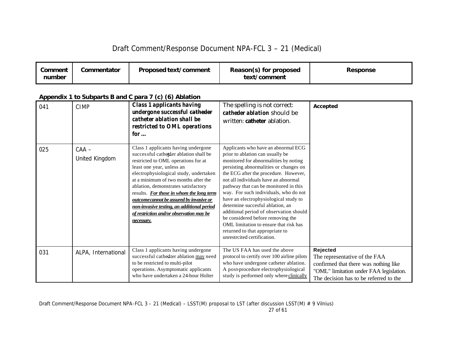| Comment<br>number | Commentator | Proposed text/comment | Reason(s) for proposed<br>text/comment | <b>Response</b> |
|-------------------|-------------|-----------------------|----------------------------------------|-----------------|
|-------------------|-------------|-----------------------|----------------------------------------|-----------------|

#### 041 CIMP *Class 1 applicants having undergone successful catheder catheter ablation shall be restricted to OML operations for …* The spelling is not correct: *catheder ablation* should be written: **catheter** ablation. 025 CAA – United Kingdom Class 1 applicants having undergone successful cathe*t*der ablation shall be restricted to OML operations for at least one year, unless an electrophysiological study, undertaken at a minimum of two months after the ablation, demonstrates satisfactory results. *For those in whom the long term outcome cannot be assured by invasive or non-invasive testing, an additional period of restriction and/or observation may be necessary.* Applicants who have an abnormal ECG prior to ablation can usually be monitored for abnormalities by noting persisting abnormalities or changes on the ECG after the procedure. However, not all individuals have an abnormal pathway that can be monitored in this way. For such individuals, who do not have an electrophysiological study to determine succesful ablation, an additional period of observation should be considered before removing the OML limitation to ensure that risk has returned to that appropriate to unrestrcited certification. **Accepted** 031 ALPA, International Class 1 applicants having undergone successful cathedter ablation may need to be restricted to multi-pilot operations. Asymptomatic applicants who have undertaken a 24-hour Holter The US FAA has used the above protocol to certify over 100 airline pilots who have undergone catheter ablation. A post-procedure electrophysiological study is performed only where clinically **Rejected** The representative of the FAA confirmed that there was nothing like "OML" limitation under FAA legislation. The decision has to be referred to the

### *Appendix 1 to Subparts B and C para 7 (c) (6) Ablation*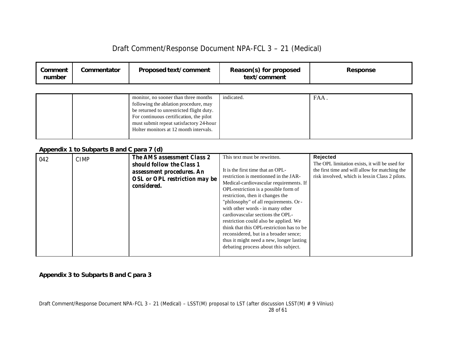| Draft Comment/Response Document NPA-FCL 3 - 21 (Medical) |  |  |  |
|----------------------------------------------------------|--|--|--|
|----------------------------------------------------------|--|--|--|

| Comment<br>number | Commentator                               | Proposed text/comment                                                                                                                                                                                                                                     | Reason(s) for proposed<br>text/comment                                                                                                                                                                                                                                                                                                                                                                                                                                                                                                                                 | <b>Response</b>                                                                                                                                                 |
|-------------------|-------------------------------------------|-----------------------------------------------------------------------------------------------------------------------------------------------------------------------------------------------------------------------------------------------------------|------------------------------------------------------------------------------------------------------------------------------------------------------------------------------------------------------------------------------------------------------------------------------------------------------------------------------------------------------------------------------------------------------------------------------------------------------------------------------------------------------------------------------------------------------------------------|-----------------------------------------------------------------------------------------------------------------------------------------------------------------|
|                   |                                           |                                                                                                                                                                                                                                                           |                                                                                                                                                                                                                                                                                                                                                                                                                                                                                                                                                                        |                                                                                                                                                                 |
|                   |                                           | monitor, no sooner than three months<br>following the ablation procedure, may<br>be returned to unrestricted flight duty.<br>For continuous certification, the pilot<br>must submit repeat satisfactory 24-hour<br>Holter monitors at 12 month intervals. | indicated.                                                                                                                                                                                                                                                                                                                                                                                                                                                                                                                                                             | FAA.                                                                                                                                                            |
|                   | Appendix 1 to Subparts B and C para 7 (d) |                                                                                                                                                                                                                                                           |                                                                                                                                                                                                                                                                                                                                                                                                                                                                                                                                                                        |                                                                                                                                                                 |
| 042               | <b>CIMP</b>                               | <b>The AMS assessment Class 2</b><br>should follow the Class 1<br>assessment procedures. An<br><b>OSL</b> or OPL restriction may be<br>considered.                                                                                                        | This text must be rewritten.<br>It is the first time that an OPL-<br>restriction is mentionned in the JAR-<br>Medical-cardiovascular requirements. If<br>OPL-restriction is a possible form of<br>restriction, then it changes the<br>"philosophy" of all requirements. Or-<br>with other words - in many other<br>cardiovascular sections the OPL-<br>restriction could also be applied. We<br>think that this OPL-restriction has to be<br>reconsidered, but in a broader sence;<br>thus it might need a new, longer lasting<br>debating process about this subject. | Rejected<br>The OPL limitation exists, it will be used for<br>the first time and will allow for matching the<br>risk involved, which is less in Class 2 pilots. |

*Appendix 3 to Subparts B and C para 3*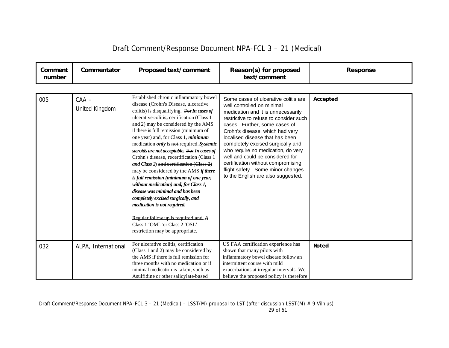| Comment<br>number | Commentator               | Proposed text/comment                                                                                                                                                                                                                                                                                                                                                                                                                                                                                                                                                                                                                                                                                                                                                                                                                                             | Reason(s) for proposed<br>text/comment                                                                                                                                                                                                                                                                                                                                                                                                                                                    | <b>Response</b> |
|-------------------|---------------------------|-------------------------------------------------------------------------------------------------------------------------------------------------------------------------------------------------------------------------------------------------------------------------------------------------------------------------------------------------------------------------------------------------------------------------------------------------------------------------------------------------------------------------------------------------------------------------------------------------------------------------------------------------------------------------------------------------------------------------------------------------------------------------------------------------------------------------------------------------------------------|-------------------------------------------------------------------------------------------------------------------------------------------------------------------------------------------------------------------------------------------------------------------------------------------------------------------------------------------------------------------------------------------------------------------------------------------------------------------------------------------|-----------------|
|                   |                           |                                                                                                                                                                                                                                                                                                                                                                                                                                                                                                                                                                                                                                                                                                                                                                                                                                                                   |                                                                                                                                                                                                                                                                                                                                                                                                                                                                                           |                 |
| 005               | $CAA -$<br>United Kingdom | Established chronic inflammatory bowel<br>disease (Crohn's Disease, ulcerative<br>colitis) is disqualifying. For In cases of<br>ulcerative colitis, certification (Class 1<br>and 2) may be considered by the AMS<br>if there is full remission (minimum of<br>one year) and, for Class 1, <i>minimum</i><br>medication <i>only</i> is not required. Systemic<br>steroids are not acceptable. For In cases of<br>Crohn's disease, recertification (Class 1<br>and Class 2) and certification (Class 2)<br>may be considered by the AMS <i>if there</i><br>is full remission (minimum of one year,<br>without medication) and, for Class 1,<br>disease was minimal and has been<br>completely excised surgically, and<br>medication is not required.<br>Regular follow up is required and $A$<br>Class 1 'OML' or Class 2 'OSL'<br>restriction may be appropriate. | Some cases of ulcerative colitis are<br>well controlled on minimal<br>medication and it is unnecessarily<br>restrictive to refuse to consider such<br>cases. Further, some cases of<br>Crohn's disease, which had very<br>localised disease that has been<br>completely excised surgically and<br>who require no medication, do very<br>well and could be considered for<br>certification without compromising<br>flight safety. Some minor changes<br>to the English are also suggested. | Accepted        |
| 032               | ALPA, International       | For ulcerative colitis, certification<br>(Class 1 and 2) may be considered by<br>the AMS if there is full remission for                                                                                                                                                                                                                                                                                                                                                                                                                                                                                                                                                                                                                                                                                                                                           | US FAA certification experience has<br>shown that many pilots with<br>inflammatory bowel disease follow an                                                                                                                                                                                                                                                                                                                                                                                | Noted           |
|                   |                           | three months with no medication or if<br>minimal medication is taken, such as<br>Asulfidine or other salicylate-based                                                                                                                                                                                                                                                                                                                                                                                                                                                                                                                                                                                                                                                                                                                                             | intermittent course with mild<br>exacerbations at irregular intervals. We<br>believe the proposed policy is therefore                                                                                                                                                                                                                                                                                                                                                                     |                 |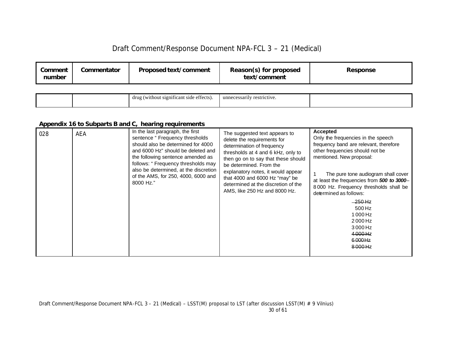| Comment<br>number | Commentator | Proposed text/comment | Reason(s) for proposed<br>text/comment | Response |
|-------------------|-------------|-----------------------|----------------------------------------|----------|
|                   |             |                       |                                        |          |

| $\sim$<br>essarily restrictive.<br>(without signifi<br>t side eff<br>drug<br>unnece<br>1cant<br>ா≏<br>$-100.01$ |
|-----------------------------------------------------------------------------------------------------------------|
|-----------------------------------------------------------------------------------------------------------------|

### *Appendix 16 to Subparts B and C, hearing requirements*

| 028 | AEA | In the last paragraph, the first<br>sentence "Frequency thresholds"<br>should also be determined for 4000<br>and 6000 Hz" should be deleted and<br>the following sentence amended as<br>follows: " Frequency thresholds may<br>also be determined, at the discretion<br>of the AMS, for 250, 4000, 6000 and<br>8000 Hz." | The suggested text appears to<br>delete the requirements for<br>determination of frequency<br>thresholds at 4 and 6 kHz, only to<br>then go on to say that these should<br>be determined. From the<br>explanatory notes, it would appear<br>that 4000 and 6000 Hz "may" be<br>determined at the discretion of the<br>AMS, like 250 Hz and 8000 Hz. | <b>Accepted</b><br>Only the frequencies in the speech<br>frequency band are relevant, therefore<br>other frequencies should not be<br>mentioned. New proposal:<br>The pure tone audiogram shall cover<br>at least the frequencies from 500 to 3000-<br>8000 Hz. Frequency thresholds shall be<br>determined as follows:<br>$-250$ Hz<br>500 Hz<br>1000 Hz<br>2000 Hz |
|-----|-----|--------------------------------------------------------------------------------------------------------------------------------------------------------------------------------------------------------------------------------------------------------------------------------------------------------------------------|----------------------------------------------------------------------------------------------------------------------------------------------------------------------------------------------------------------------------------------------------------------------------------------------------------------------------------------------------|----------------------------------------------------------------------------------------------------------------------------------------------------------------------------------------------------------------------------------------------------------------------------------------------------------------------------------------------------------------------|
|     |     |                                                                                                                                                                                                                                                                                                                          |                                                                                                                                                                                                                                                                                                                                                    | 3000 Hz                                                                                                                                                                                                                                                                                                                                                              |
|     |     |                                                                                                                                                                                                                                                                                                                          |                                                                                                                                                                                                                                                                                                                                                    | 4000 Hz                                                                                                                                                                                                                                                                                                                                                              |
|     |     |                                                                                                                                                                                                                                                                                                                          |                                                                                                                                                                                                                                                                                                                                                    | 6000Hz                                                                                                                                                                                                                                                                                                                                                               |
|     |     |                                                                                                                                                                                                                                                                                                                          |                                                                                                                                                                                                                                                                                                                                                    | 8000 Hz                                                                                                                                                                                                                                                                                                                                                              |
|     |     |                                                                                                                                                                                                                                                                                                                          |                                                                                                                                                                                                                                                                                                                                                    |                                                                                                                                                                                                                                                                                                                                                                      |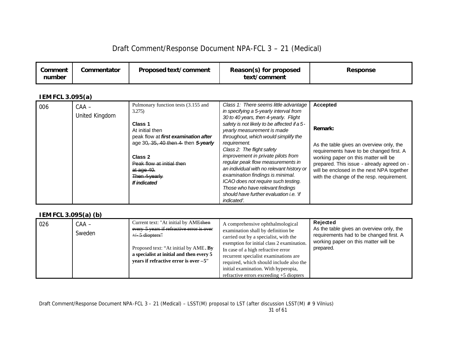| Draft Comment/Response Document NPA-FCL 3 - 21 (Medical) |  |  |  |
|----------------------------------------------------------|--|--|--|
|----------------------------------------------------------|--|--|--|

| Proposed text/comment<br>Commentator<br>Comment<br>number | Reason(s) for proposed<br>text/comment | Response |
|-----------------------------------------------------------|----------------------------------------|----------|
|-----------------------------------------------------------|----------------------------------------|----------|

### *IEM FCL 3.095(a)*

| 006 | $CAA -$<br>United Kingdom | Pulmonary function tests (3.155 and<br>3.275<br>Class 1<br>At initial then<br>peak flow at first examination after<br>age 30, 35, 40 then 4- then 5-yearly<br>Class 2<br>Peak flow at initial then<br>at $aq0$ 40.<br>Then 4-yearly<br>If indicated | Class 1: There seems little advantage<br>in specifying a 5-yearly interval from<br>30 to 40 years, then 4-yearly. Flight<br>safety is not likely to be affected if a 5-<br>yearly measurement is made<br>throughout, which would simplify the<br>requirement.<br>Class 2: The flight safety<br>improvement in private pilots from<br>regular peak flow measurements in<br>an individual with no relevant history or<br>examination findings is minimal.<br>ICAO does not require such testing.<br>Those who have relevant findings<br>should have further evaluation i.e. 'if<br>indicated'. | <b>Accepted</b><br>Remark:<br>As the table gives an overview only, the<br>requirements have to be changed first. A<br>working paper on this matter will be<br>prepared. This issue - already agreed on -<br>will be enclosed in the next NPA together<br>with the change of the resp. requirement. |
|-----|---------------------------|-----------------------------------------------------------------------------------------------------------------------------------------------------------------------------------------------------------------------------------------------------|----------------------------------------------------------------------------------------------------------------------------------------------------------------------------------------------------------------------------------------------------------------------------------------------------------------------------------------------------------------------------------------------------------------------------------------------------------------------------------------------------------------------------------------------------------------------------------------------|----------------------------------------------------------------------------------------------------------------------------------------------------------------------------------------------------------------------------------------------------------------------------------------------------|
|-----|---------------------------|-----------------------------------------------------------------------------------------------------------------------------------------------------------------------------------------------------------------------------------------------------|----------------------------------------------------------------------------------------------------------------------------------------------------------------------------------------------------------------------------------------------------------------------------------------------------------------------------------------------------------------------------------------------------------------------------------------------------------------------------------------------------------------------------------------------------------------------------------------------|----------------------------------------------------------------------------------------------------------------------------------------------------------------------------------------------------------------------------------------------------------------------------------------------------|

## *IEM FCL 3.095(a) (b)*

| $\frac{1}{2}$ |                 |                                                                                                                                                                                                                                        |                                                                                                                                                                                                                                                                                                                                                                              |                                                                                                                                                      |
|---------------|-----------------|----------------------------------------------------------------------------------------------------------------------------------------------------------------------------------------------------------------------------------------|------------------------------------------------------------------------------------------------------------------------------------------------------------------------------------------------------------------------------------------------------------------------------------------------------------------------------------------------------------------------------|------------------------------------------------------------------------------------------------------------------------------------------------------|
| 026           | CAA –<br>Sweden | Current text: "At initial by AMEthen<br>every 5 years if refractive error is over<br>$+/-5$ diopters"<br>Proposed text: "At initial by AME. By<br>a specialist at initial and then every 5<br>vears if refractive error is over $-5$ " | A comprehensive ophthalmological<br>examination shall by definition be<br>carried out by a specialist, with the<br>exemption for initial class 2 examination.<br>In case of a high refractive error<br>recurrent specialist examinations are<br>required, which should include also the<br>initial examination. With hyperopia,<br>refractive errors exceeding $+5$ diopters | Rejected<br>As the table gives an overview only, the<br>requirements had to be changed first. A<br>working paper on this matter will be<br>prepared. |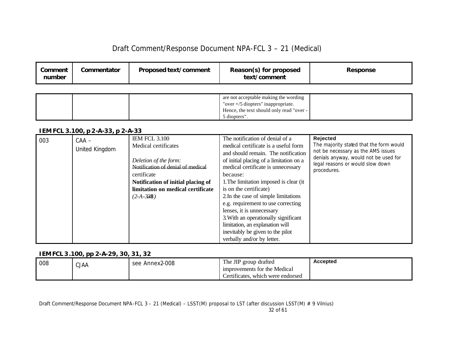| Comment<br>number | Commentator | <b>Proposed text/comment</b> | Reason(s) for proposed<br>text/comment   | Response |
|-------------------|-------------|------------------------------|------------------------------------------|----------|
|                   |             |                              |                                          |          |
|                   |             |                              | are not acceptable making the wording    |          |
|                   |             |                              | "over $+/5$ diopters" inappropriate.     |          |
|                   |             |                              | Hence, the text should only read "over - |          |

5 diopters".

### *IEM FCL 3.100, p 2-A-33, p 2-A-33*

| , _,,, , o _ o . , o o , p _ , . o o , p _ , . o o<br><b>IEM FCL 3.100</b><br>003<br>$CAA -$<br>Medical certificates<br>United Kingdom<br>Deletion of the form:<br>Notification of denial of medical<br>certificate<br>Notification of initial placing of<br>limitation on medical certificate<br>$(2-A-338)$ | The notification of denial of a<br>medical certificate is a useful form<br>and should remain. The notification<br>of initial placing of a limitation on a<br>medical certificate is unnecessary<br>because:<br>1. The limitation imposed is clear (it)<br>is on the certificate)<br>2. In the case of simple limitations<br>e.g. requirement to use correcting<br>lenses, it is unnecessary<br>3. With an operationally significant<br>limitation, an explanation will<br>inevitably be given to the pilot<br>verbally and/or by letter. | Rejected<br>The majority stated that the form would<br>not be necessary as the AMS issues<br>denials anyway, would not be used for<br>legal reasons or would slow down<br>procedures. |
|---------------------------------------------------------------------------------------------------------------------------------------------------------------------------------------------------------------------------------------------------------------------------------------------------------------|------------------------------------------------------------------------------------------------------------------------------------------------------------------------------------------------------------------------------------------------------------------------------------------------------------------------------------------------------------------------------------------------------------------------------------------------------------------------------------------------------------------------------------------|---------------------------------------------------------------------------------------------------------------------------------------------------------------------------------------|
|---------------------------------------------------------------------------------------------------------------------------------------------------------------------------------------------------------------------------------------------------------------------------------------------------------------|------------------------------------------------------------------------------------------------------------------------------------------------------------------------------------------------------------------------------------------------------------------------------------------------------------------------------------------------------------------------------------------------------------------------------------------------------------------------------------------------------------------------------------------|---------------------------------------------------------------------------------------------------------------------------------------------------------------------------------------|

### *IEM FCL 3.100, pp 2-A-29, 30, 31, 32*

| 008 | <b>CJAA</b> | see Annex2-008 | The JIP group drafted             | <b>Accepted</b> |
|-----|-------------|----------------|-----------------------------------|-----------------|
|     |             |                | improvements for the Medical      |                 |
|     |             |                | Certificates, which were endorsed |                 |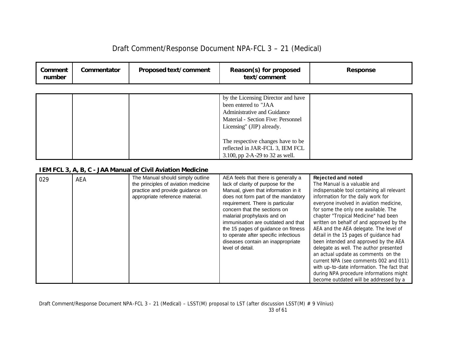|  | Draft Comment/Response Document NPA-FCL 3 - 21 (Medical) |  |
|--|----------------------------------------------------------|--|
|--|----------------------------------------------------------|--|

| Comment<br>number | Commentator | Proposed text/comment | Reason(s) for proposed<br>text/comment                                                                                                                       | <b>Response</b> |
|-------------------|-------------|-----------------------|--------------------------------------------------------------------------------------------------------------------------------------------------------------|-----------------|
|                   |             |                       |                                                                                                                                                              |                 |
|                   |             |                       | by the Licensing Director and have<br>been entered to "JAA<br>Administrative and Guidance<br>Material - Section Five: Personnel<br>Licensing" (JIP) already. |                 |
|                   |             |                       | The respective changes have to be<br>reflected in JAR-FCL 3, IEM FCL<br>3.100, pp 2-A-29 to 32 as well.                                                      |                 |

### *IEM FCL 3, A, B, C - JAA Manual of Civil Aviation Medicine*

| 029 | <b>AEA</b> | The Manual should simply outline    | AEA feels that there is generally a  | <b>Rejected and noted</b>                  |
|-----|------------|-------------------------------------|--------------------------------------|--------------------------------------------|
|     |            | the principles of aviation medicine | lack of clarity of purpose for the   | The Manual is a valuable and               |
|     |            | practice and provide guidance on    | Manual, given that information in it | indispensable tool containing all relevant |
|     |            | appropriate reference material.     | does not form part of the mandatory  | information for the daily work for         |
|     |            |                                     | requirement. There is particular     | everyone involved in aviation medicine,    |
|     |            |                                     | concern that the sections on         | for some the only one available. The       |
|     |            |                                     | malarial prophylaxis and on          | chapter "Tropical Medicine" had been       |
|     |            |                                     | immunisation are outdated and that   | written on behalf of and approved by the   |
|     |            |                                     | the 15 pages of guidance on fitness  | AEA and the AEA delegate. The level of     |
|     |            |                                     | to operate after specific infectious | detail in the 15 pages of guidance had     |
|     |            |                                     | diseases contain an inappropriate    | been intended and approved by the AEA      |
|     |            |                                     | level of detail.                     | delegate as well. The author presented     |
|     |            |                                     |                                      | an actual update as comments on the        |
|     |            |                                     |                                      | current NPA (see comments 002 and 011)     |
|     |            |                                     |                                      | with up-to-date information. The fact that |
|     |            |                                     |                                      | during NPA procedure informations might    |
|     |            |                                     |                                      | become outdated will be addressed by a     |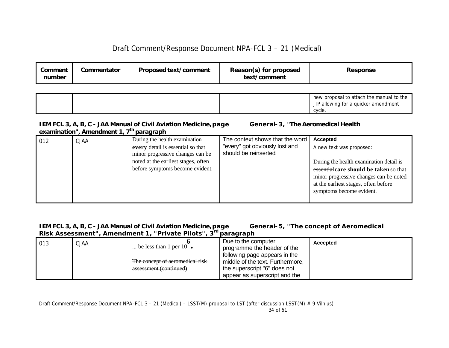| Comment<br>number | Commentator | <b>Proposed text/comment</b> | Reason(s) for proposed<br>text/comment | Response                                                                                   |
|-------------------|-------------|------------------------------|----------------------------------------|--------------------------------------------------------------------------------------------|
|                   |             |                              |                                        | new proposal to attach the manual to the<br>JIP allowing for a quicker amendment<br>cycle. |

### *IEM FCL 3, A, B, C - JAA Manual of Civil Aviation Medicine, page General-3, "The Aeromedical Health examination", Amendment 1, 7th paragraph*

|     |             |                                     | The context shows that the word | Accepted                                |
|-----|-------------|-------------------------------------|---------------------------------|-----------------------------------------|
| 012 | <b>CJAA</b> | During the health examination       |                                 |                                         |
|     |             | every detail is essential so that   | "every" got obviously lost and  | A new text was proposed:                |
|     |             | minor progressive changes can be    | should be reinserted.           |                                         |
|     |             | noted at the earliest stages, often |                                 | During the health examination detail is |
|     |             | before symptoms become evident.     |                                 | essential care should be taken so that  |
|     |             |                                     |                                 | minor progressive changes can be noted  |
|     |             |                                     |                                 | at the earliest stages, often before    |
|     |             |                                     |                                 | symptoms become evident.                |
|     |             |                                     |                                 |                                         |
|     |             |                                     |                                 |                                         |

### *IEM FCL 3, A, B, C - JAA Manual of Civil Aviation Medicine, page General-5, "The concept of Aeromedical Risk Assessment", Amendment 1, "Private Pilots", 3rd paragraph*

| 013 | <b>CJAA</b> | be less than 1 per 10 $\bullet$                           | Due to the computer<br>programme the header of the                                                                                 | <b>Accepted</b> |
|-----|-------------|-----------------------------------------------------------|------------------------------------------------------------------------------------------------------------------------------------|-----------------|
|     |             | The concept of aeromedical risk<br>assessment (continued) | following page appears in the<br>middle of the text. Furthermore,<br>the superscript "6" does not<br>appear as superscript and the |                 |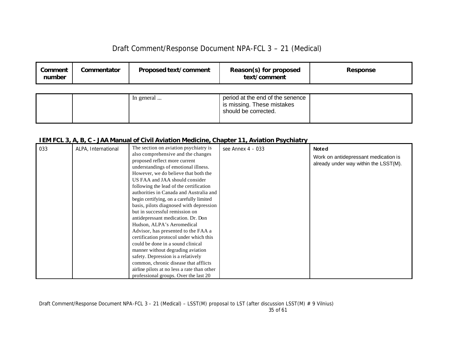| Comment<br>number | Commentator | <b>Proposed text/comment</b> | Reason(s) for proposed<br>text/comment                                                 | Response |
|-------------------|-------------|------------------------------|----------------------------------------------------------------------------------------|----------|
|                   |             | In general                   | period at the end of the senence<br>is missing. These mistakes<br>should be corrected. |          |

### *IEM FCL 3, A, B, C - JAA Manual of Civil Aviation Medicine, Chapter 11, Aviation Psychiatry*

| 033 | ALPA, International | The section on aviation psychiatry is<br>also comprehensive and the changes<br>proposed reflect more current<br>understandings of emotional illness.<br>However, we do believe that both the<br>US FAA and JAA should consider<br>following the lead of the certification<br>authorities in Canada and Australia and<br>begin certifying, on a carefully limited<br>basis, pilots diagnosed with depression<br>but in successful remission on<br>antidepressant medication. Dr. Don<br>Hudson, ALPA's Aeromedical<br>Advisor, has presented to the FAA a<br>certification protocol under which this<br>could be done in a sound clinical<br>manner without degrading aviation<br>safety. Depression is a relatively<br>common, chronic disease that afflicts | see Annex 4 - 033 | <b>Noted</b><br>Work on antidepressant medication is<br>already under way within the LSST(M). |
|-----|---------------------|--------------------------------------------------------------------------------------------------------------------------------------------------------------------------------------------------------------------------------------------------------------------------------------------------------------------------------------------------------------------------------------------------------------------------------------------------------------------------------------------------------------------------------------------------------------------------------------------------------------------------------------------------------------------------------------------------------------------------------------------------------------|-------------------|-----------------------------------------------------------------------------------------------|
|     |                     | airline pilots at no less a rate than other<br>professional groups. Over the last 20                                                                                                                                                                                                                                                                                                                                                                                                                                                                                                                                                                                                                                                                         |                   |                                                                                               |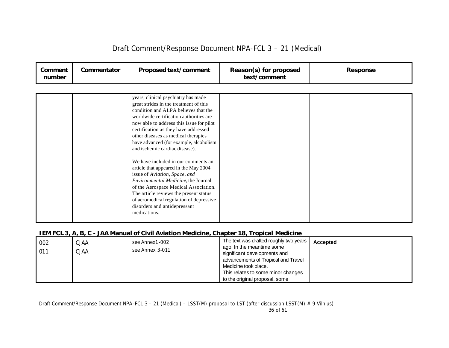| Comment<br>number | Commentator | Proposed text/comment                                                                                                                                                                                                                                                                                                                                                                                                                                                                                                                                                                                                                                                                                         | Reason(s) for proposed<br>text/comment | <b>Response</b> |
|-------------------|-------------|---------------------------------------------------------------------------------------------------------------------------------------------------------------------------------------------------------------------------------------------------------------------------------------------------------------------------------------------------------------------------------------------------------------------------------------------------------------------------------------------------------------------------------------------------------------------------------------------------------------------------------------------------------------------------------------------------------------|----------------------------------------|-----------------|
|                   |             |                                                                                                                                                                                                                                                                                                                                                                                                                                                                                                                                                                                                                                                                                                               |                                        |                 |
|                   |             | years, clinical psychiatry has made<br>great strides in the treatment of this<br>condition and ALPA believes that the<br>worldwide certification authorities are<br>now able to address this issue for pilot<br>certification as they have addressed<br>other diseases as medical therapies<br>have advanced (for example, alcoholism<br>and ischemic cardiac disease).<br>We have included in our comments an<br>article that appeared in the May 2004<br>issue of Aviation, Space, and<br>Environmental Medicine, the Journal<br>of the Aerospace Medical Association.<br>The article reviews the present status<br>of aeromedical regulation of depressive<br>disorders and antidepressant<br>medications. |                                        |                 |

## *IEM FCL 3, A, B, C - JAA Manual of Civil Aviation Medicine, Chapter 18, Tropical Medicine*

| 002<br>011 | <b>CJAA</b><br><b>CJAA</b> | see Annex1-002<br>see Annex 3-011 | The text was drafted roughly two years<br>ago. In the meantime some<br>significant developments and<br>advancements of Tropical and Travel<br>Medicine took place.<br>This relates to some minor changes<br>to the original proposal, some | Accepted |
|------------|----------------------------|-----------------------------------|--------------------------------------------------------------------------------------------------------------------------------------------------------------------------------------------------------------------------------------------|----------|
|------------|----------------------------|-----------------------------------|--------------------------------------------------------------------------------------------------------------------------------------------------------------------------------------------------------------------------------------------|----------|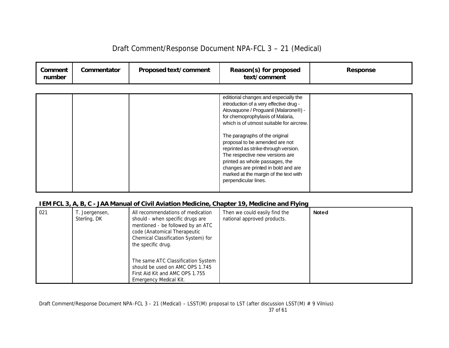| Draft Comment/Response Document NPA-FCL 3 - 21 (Medical) |  |  |
|----------------------------------------------------------|--|--|
|----------------------------------------------------------|--|--|

| editiorial changes and especially the                                                                                                                                                                                                                                                                                                                                                                         | Comment<br>number | Commentator | Proposed text/comment | Reason(s) for proposed<br>text/comment  | Response |
|---------------------------------------------------------------------------------------------------------------------------------------------------------------------------------------------------------------------------------------------------------------------------------------------------------------------------------------------------------------------------------------------------------------|-------------------|-------------|-----------------------|-----------------------------------------|----------|
| Atovaquone / Proguanil (Malarone®) -<br>for chemoprophylaxis of Malaria,<br>which is of utmost suitable for aircrew.<br>The paragraphs of the original<br>proposal to be amended are not<br>reprinted as strike-through version.<br>The respective new versions are<br>printed as whole passages, the<br>changes are printed in bold and are<br>marked at the margin of the text with<br>perpendicular lines. |                   |             |                       | introduction of a very effective drug - |          |

### *IEM FCL 3, A, B, C - JAA Manual of Civil Aviation Medicine, Chapter 19, Medicine and Flying*

| 021 | T. Joergensen,<br>Sterling, DK | All recommendations of medication<br>should - when specific drugs are<br>mentioned - be followed by an ATC<br>code (Anatomical Therapeutic<br>Chemical Classification System) for<br>the specific drug. | Then we could easily find the<br>national approved products. | <b>Noted</b> |
|-----|--------------------------------|---------------------------------------------------------------------------------------------------------------------------------------------------------------------------------------------------------|--------------------------------------------------------------|--------------|
|     |                                | The same ATC Classification System<br>should be used on AMC OPS 1.745<br>First Aid Kit and AMC OPS 1.755<br>Emergency Medical Kit.                                                                      |                                                              |              |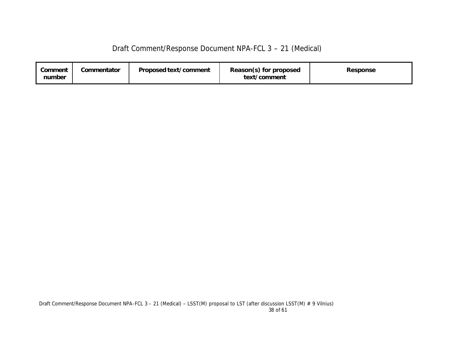| Draft Comment/Response Document NPA-FCL 3 - 21 (Medical) |  |  |  |
|----------------------------------------------------------|--|--|--|
|----------------------------------------------------------|--|--|--|

| Proposed text/comment<br>Commentator<br>Comment<br>number | Reason(s) for proposed<br>text/comment | Response |
|-----------------------------------------------------------|----------------------------------------|----------|
|-----------------------------------------------------------|----------------------------------------|----------|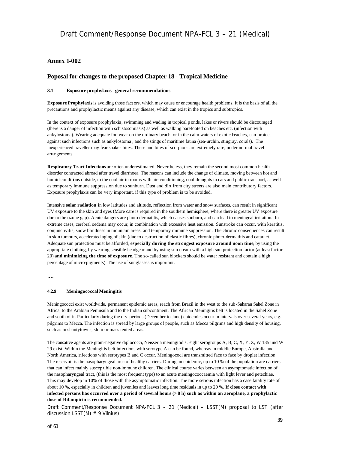#### **Annex 1-002**

### **Poposal for changes to the proposed Chapter 18 - Tropical Medicine**

#### **3.1 Exposure prophylaxis - general recommendations**

**Exposure Prophylaxis** is avoiding those fact ors, which may cause or encourage health problems. It is the basis of all the precautions and prophylactic means against any disease, which can exist in the tropics and subtropics.

In the context of exposure prophylaxis, swimming and wading in tropical p onds, lakes or rivers should be discouraged (there is a danger of infection with schistosomiasis) as well as walking barefooted on beaches etc. (infection with ankylostoma). Wearing adequate footwear on the ordinary beach, or in the calm waters of exotic beaches, can protect against such infections such as ankylostoma , and the stings of maritime fauna (sea-urchin, stingray, corals). The inexperienced traveller may fear snake- bites. These and bites of scorpions are extremely rare, under normal travel arrangements.

**Respiratory Tract Infections** are often underestimated. Nevertheless, they remain the second-most common health disorder contracted abroad after travel diarrhoea. The reasons can include the change of climate, moving between hot and humid conditions outside, to the cool air in rooms with air-conditioning, cool draughts in cars and public transport, as well as temporary immune suppression due to sunburn. Dust and dirt from city streets are also main contributory factors. Exposure prophylaxis can be very important, if this type of problem is to be avoided.

Intensive **solar radiation** in low latitudes and altitude, reflection from water and snow surfaces, can result in significant UV exposure to the skin and eyes (More care is required in the southern hemisphere, where there is greater UV exposure due to the ozone gap). Acute dangers are photo-dermatitis, which causes sunburn, and can lead to meningeal irritation. In extreme cases, cerebral oedema may occur, in combination with excessive heat emission. Sunstroke can occur, with keratitis, conjunctivitis, snow blindness in mountain areas, and temporary immune suppression. The chronic consequences can result in skin tumours, accelerated aging of skin (due to destruction of elastic fibres), chronic photo-dermatitis and cataract. Adequate sun protection must be afforded, **especially during the strongest exposure around noon time**, by using the appropriate clothing, by wearing sensible headgear and by using sun cream with a high sun protection factor (at least factor 20) **and minimizing the time of exposure**. The so-called sun blockers should be water resistant and contain a high percentage of micro-pigments). The use of sunglasses is important.

....

#### **4.2.9 Meningococcal Meningitis**

Meningococci exist worldwide, permanent epidemic areas, reach from Brazil in the west to the sub-Saharan Sahel Zone in Africa, to the Arabian Peninsula and to the Indian subcontinent. The African Meningitis belt is located in the Sahel Zone and south of it. Particularly during the dry periods (December to June) epidemics occur in intervals over several years, e.g. pilgrims to Mecca. The infection is spread by large groups of people, such as Mecca pilgrims and high density of housing, such as in shantytowns, slum or mass tented areas.

The causative agents are gram-negative diplococci, Neisseria meningitidis. Eight serogroups A, B, C, X, Y, Z, W 135 und W 29 exist. Within the Meningitis belt infections with serotype A can be found, whereas in middle Europe, Australia and North America, infections with serotypes B and C occur. Meningococi are transmitted face to face by droplet infection. The reservoir is the nasopharyngeal area of healthy carriers. During an epidemic, up to 10 % of the population are carriers that can infect mainly suscep tible non-immune children. The clinical course varies between an asymptomatic infection of the nasopharyngeal tract, (this is the most frequent type) to an acute meningococcaemia with light fever and petechiae. This may develop in 10% of those with the asymptomatic infection. The more serious infection has a case fatality rate of about 10 %, especially in children and juveniles and leaves long time residuals in up to 20 %. **If close contact with infected persons has occurred over a period of several hours (> 8 h) such as within an aeroplane, a prophylactic dose of Rifampicin is recommended.**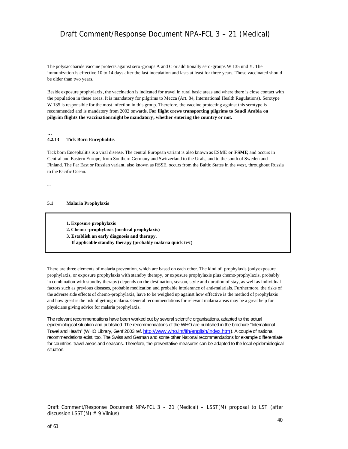The polysaccharide vaccine protects against sero-groups A and C or additionally sero-groups W 135 und Y. The immunization is effective 10 to 14 days after the last inoculation and lasts at least for three years. Those vaccinated should be older than two years.

Beside exposure prophylaxis, the vaccination is indicated for travel in rural basic areas and where there is close contact with the population in these areas. It is mandatory for pilgrims to Mecca (Art. 84, International Health Regulations). Serotype W 135 is responsible for the most infection in this group. Therefore, the vaccine protecting against this serotype is recommended and is mandatory from 2002 onwards. **For flight crews transporting pilgrims to Saudi Arabia on pilgrim flights the vaccination might be mandatory, whether entering the country or not.**

#### **4.2.13 Tick Born Encephalitis**

Tick born Encephalitis is a viral disease. The central European variant is also known as ESME **or FSME**, and occurs in Central and Eastern Europe, from Southern Germany and Switzerland to the Urals, and to the south of Sweden and Finland. The Far East or Russian variant, also known as RSSE, occurs from the Baltic States in the west, throughout Russia to the Pacific Ocean.

...

...

#### **5.1 Malaria Prophylaxis**

- **1. Exposure prophylaxis**
- **2. Chemo -prophylaxis (medical prophylaxis)**
- **3. Establish an early diagnosis and therapy.**
	- **If applicable standby therapy (probably malaria quick test)**

There are three elements of malaria prevention, which are based on each other. The kind of prophylaxis (only exposure prophylaxis, or exposure prophylaxis with standby therapy, or exposure prophylaxis plus chemo-prophylaxis, probably in combination with standby therapy) depends on the destination, season, style and duration of stay, as well as individual factors such as previous diseases, probable medication and probable intolerance of anti-malarials. Furthermore, the risks of the adverse side effects of chemo-prophylaxis, have to be weighed up against how effective is the method of prophylaxis and how great is the risk of getting malaria. General recommendations for relevant malaria areas may be a great help for physicians giving advice for malaria prophylaxis.

The relevant recommendations have been worked out by several scientific organisations, adapted to the actual epidemiological situation and published. The recommendations of the WHO are published in the brochure "International Travel and Health" (WHO Library, Genf 2003 ref. http://www.who.int/ith/english/index.htm). A couple of national recommendations exist, too. The Swiss and German and some other National recommendations for example differentiate for countries, travel areas and seasons. Therefore, the preventative measures can be adapted to the local epidemiological situation.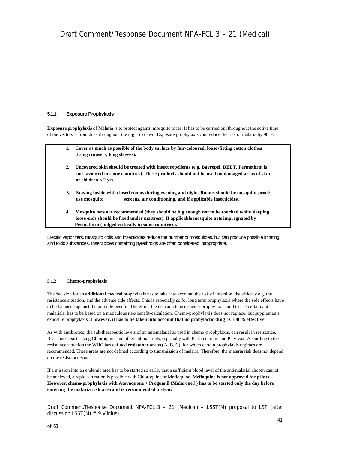#### **5.1.1 Exposure Prophylaxis**

**Exposure prophylaxis** of Malaria is to protect against mosquito bit es. It has to be carried out throughout the active time of the vectors – from dusk throughout the night to dawn. Exposure prophylaxis can reduce the risk of malaria by 90 %.

| 1.           | Cover as much as possible of the body surface by fair-coloured, loose-fitting cotton clothes<br>(Long trousers, long sleeves).                                                                                                            |
|--------------|-------------------------------------------------------------------------------------------------------------------------------------------------------------------------------------------------------------------------------------------|
| $\mathbf{2}$ | Uncovered skin should be treated with insect repellents (e.g. Bayrepel, DEET. Permethrin is<br>not favoured in some countries). These products should not be used on damaged areas of skin<br>or children $<$ 2 yrs                       |
| 3.           | Staving inside with closed rooms during evening and night. Rooms should be mosquito-proof:<br>screens, air conditioning, and if applicable insecticides.<br>use mosquito                                                                  |
| 4.           | Mosquito nets are recommended (they should be big enough not to be touched while sleeping,<br>loose ends should be fixed under mattress). If applicable mosquito nets impregnated by<br>Permethrin (judged critically in some countries). |

Electric vaporizers, mosquito coils and insecticides reduce the number of mosquitoes, but can produce possible irritating and toxic substances. Insecticides containing pyrethroids are often considered inappropriate.

#### **5.1.2 Chemo-prophylaxis**

The decision for an **additional** medical prophylaxis has to take into account, the risk of infection, the efficacy e.g. the resistance situation, and the adverse side effects. This is especially so for long-term prophylaxis where the side effects have to be balanced against the possible benefit. Therefore, the decision to use chemo-prophylaxis, and to use certain antimalarials, has to be based on a meticulous risk-benefit-calculation. Chemo-prophylaxis does not replace, but supplements, exposure prophylaxis**. However, it has to be taken into account that no prohylactic drug is 100 % effective.**

As with antibiotics, the sub-therapeutic levels of an anti-malarial as used in chemo-prophylaxis, can result in resistance. Resistance exists using Chloroquine and other antimalarials, especially with Pl. falciparum and Pl. vivax. According to the resistance situation the WHO has defined **resistance areas (**A, B, C), for which certain prophylaxis regimes are recommended. These areas are not defined according to transmission of malaria. Therefore, the malaria risk does not depend on the resistance zone.

If a mission into an endemic area has to be started so early, that a sufficient blood level of the anti-malarial chosen cannot be achieved, a rapid saturation is possible with Chloroquine or Mefloquine. **Mefloquine is not approved for pi lots. However, chemo-prophylaxis with Atovaquone + Proguanil (Malarone®) has to be started only the day before entering the malaria risk area and is recommended instead.**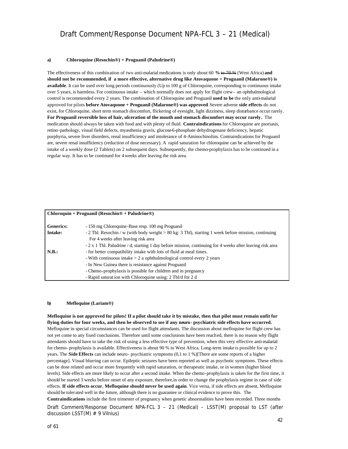#### **a) Chloroquine (Resochin®) + Proguanil (Paludrine®)**

The effectiveness of this combination of two anti-malarial medications is only about 60 **%** to 70 % (West Africa) **and should not be recommended, if a more effective, alternative drug like Atovaquone + Proguanil (Malarone®) is available**. It can be used over long periods continuously (Up to 100 g of Chloroquine, corresponding to continuous intake over 5 years, is harmless. For continuous intake – which normally does not apply for flight crew – an ophthalmological control is recommended every 2 years. The combination of Chloroquine and Proguanil **used to be** the only anti-malarial approved for pilots **before Atovaquone + Proguanil (Malarone®) was approved**. Severe adverse **side effects** do not exist, for Chloroquine, short term stomach discomfort, flickering of eyesight, light dizziness, sleep disturbance occur rarely. **For Proguanil reversible loss of hair, ulceration of the mouth and stomach discomfort may occur rarely.** The medication should always be taken with food and with plenty of fluid. **Contraindications** for Chloroquine are psoriasis, retino-pathology, visual field defects, myasthenia gravis, glucose-6-phosphate dehydrogenase deficiency, hepatic porphyria, severe liver disorders, renal insufficiency and intolerance of 4-Aminochinolins. Contraindications for Proguanil are, severe renal insufficiency (reduction of dose necessary). A rapid saturation for chloroquine can be achieved by the intake of a weekly dose (2 Tablets) on 2 subsequent days. Subsequently, the chemo-prophylaxis has to be continued in a regular way. It has to be continued for 4 weeks after leaving the risk area.

| $Chloroquin + Programil (Resochin@ + Paludrine@)$ |                                                                                                                |  |
|---------------------------------------------------|----------------------------------------------------------------------------------------------------------------|--|
|                                                   |                                                                                                                |  |
| <b>Generics:</b>                                  | - 150 mg Chloroquine-Base resp. 100 mg Proguanil                                                               |  |
| <b>Intake:</b>                                    | - 2 Tbl. Resochin / w (with body weight $> 80 \text{ kg}$ : 3 Tbl), starting 1 week before mission, continuing |  |
|                                                   | For 4 weeks after leaving risk area                                                                            |  |
|                                                   | - 2 x 1 Tbl. Paludrine / d, starting 1 day before mission, continuing for 4 weeks after leaving risk area      |  |
| N.B.:                                             | - for better compatibility intake with lots of fluid at meal times.                                            |  |
|                                                   | - With continuous intake $> 2$ a ophthalmological control every 2 years                                        |  |
|                                                   | - In New Guinea there is resistance against Proguanil                                                          |  |
|                                                   | - Chemo-prophylaxis is possible for children and in pregnancy                                                  |  |
|                                                   | - Rapid saturation with Chloroquine using: 2 Tbl/d for 2 d                                                     |  |

#### **b) Mefloquine (Lariam®)**

**Mefloquine is not approved for pilots! If a pilot should take it by mistake, then that pilot must remain unfit for flying duties for four weeks, and then be observed to see if any neuro- psychiatric side effects have occurred.** Mefloquine in special circumstances can be used for flight attendants. The discussion about mefloquine for flight crew has not yet come to any fixed conclusions. Therefore until some conclusions have been reached, there is no reason why flight attendants should have to take the risk of using a less effective type of prevention, when this very effective anti-malarial for chemo- prophylaxis is available. Effectiveness is about 90 % in West Africa. Long-term intake is possible for up to 2 years. The **Side Effects** can include neuro- psychiatric symptoms (0,1 to 1 %)[There are some reports of a higher percentage]. Visual blurring can occur. Epileptic seizures have been reported as well as psychotic symptoms. These effects can be dose related and occur more frequently with rapid saturation, or therapeutic intake, or in women (higher blood levels). Side effects are more likely to occur after a second intake. When the chemo-prophylaxis is taken for the first time, it should be started 3 weeks before onset of any exposure, therefore,in order to change the prophylaxis regime in case of side effects. **If side effects occur**, **Mefloquine should never be used again**. Vice versa, if side effects are absent, Mefloquine should be tolerated well in the future, although there is no guarantee or clinical evidence to prove this. The **Contraindications** include the first trimester of pregnancy when genetic abnormalities have been recorded. Three months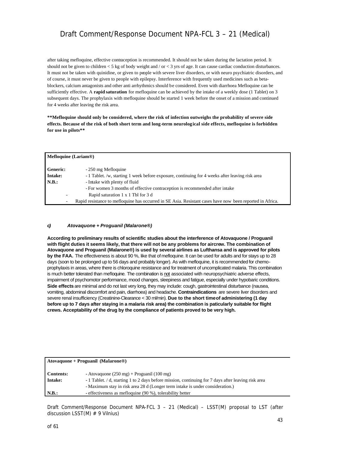after taking mefloquine, effective contraception is recommended. It should not be taken during the lactation period. It should not be given to children  $<$  5 kg of body weight and / or  $<$  3 yrs of age. It can cause cardiac conduction disturbances. It must not be taken with quinidine, or given to people with severe liver disorders, or with neuro psychiatric disorders, and of course, it must never be given to people with epilepsy. Interference with frequently used medicines such as betablockers, calcium antagonists and other anti arrhythmics should be considered. Even with diarrhoea Mefloquine can be sufficiently effective. A **rapid saturation** for mefloquine can be achieved by the intake of a weekly dose (1 Tablet) on 3 subsequent days. The prophylaxis with mefloquine should be started 1 week before the onset of a mission and continued for 4 weeks after leaving the risk area.

**\*\*Mefloquine should only be considered, where the risk of infection outweighs the probability of severe side effects. Because of the risk of both short term and long-term neurological side effects, mefloquine is forbidden for use in pilots\*\*** 

| <b>Mefloquine (Lariam®)</b> |                                                                                                           |  |
|-----------------------------|-----------------------------------------------------------------------------------------------------------|--|
| <b>Generic:</b>             | - 250 mg Mefloquine                                                                                       |  |
| Intake:                     | - 1 Tablet. /w, starting 1 week before exposure, continuing for 4 weeks after leaving risk area           |  |
| $\blacksquare$ N.B.:        | - Intake with plenty of fluid                                                                             |  |
|                             | - For women 3 months of effective contraception is recommended after intake                               |  |
| -                           | Rapid saturation 1 x 1 Tbl for 3 d                                                                        |  |
| ٠                           | Rapid resistance to mefloquine has occurred in SE Asia. Resistant cases have now been reported in Africa. |  |

#### *c) Atovaquone + Proguanil (Malarone®)*

**According to preliminary results of scientific studies about the interference of Atovaquone / Proguanil with flight duties it seems likely, that there will not be any problems for aircrew. The combination of Atovaquone and Proguanil (Malarone®) is used by several airlines as Lufthansa and is approved for pilots by the FAA.** The effectiveness is about 90 %, like that of mefloquine. It can be used for adults and for stays up to 28 days (soon to be prolonged up to 56 days and probably longer). As with mefloquine, it is recommended for chemoprophylaxis in areas, where there is chloroquine resistance and for treatment of uncomplicated malaria. This combination is much better tolerated than mefloquine. The combination is not associated with neuropsychiatric adverse effects, impairment of psychomotor performance, mood changes, sleepiness and fatigue, especially under hypobaric conditions. **Side effects** are minimal and do not last very long, they may include: cough, gastrointestinal disturbance (nausea, vomiting, abdominal discomfort and pain, diarrhoea) and headache. **Contraindications** are severe liver disorders and severe renal insufficiency (Creatinine-Clearance < 30 ml/min). **Due to the short time of administering (1 day before up to 7 days after staying in a malaria risk area) the combination is paticularly suitable for flight crews. Acceptability of the drug by the compliance of patients proved to be very high.**

| $A$ tovaquone + Proguanil (Malarone®) |                                                                                                     |  |  |
|---------------------------------------|-----------------------------------------------------------------------------------------------------|--|--|
| <b>Contents:</b>                      | - Atovaquone $(250 \text{ mg})$ + Proguanil $(100 \text{ mg})$                                      |  |  |
| Intake:                               | - 1 Tablet. A d, starting 1 to 2 days before mission, continuing for 7 days after leaving risk area |  |  |
|                                       | - Maximum stay in risk area 28 d (Longer term intake is under consideration.)                       |  |  |
| N.B.:                                 | - effectiveness as mefloquine (90 %), tolerability better                                           |  |  |
|                                       |                                                                                                     |  |  |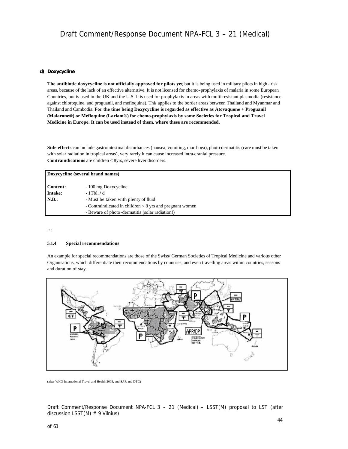#### *d) Doxycycline*

**The antibiotic doxycycline is not officially approved for pilots yet**, but it is being used in military pilots in high - risk areas, because of the lack of an effective alternative. It is not licensed for chemo-prophylaxis of malaria in some European Countries, but is used in the UK and the U.S. It is used for prophylaxis in areas with multi-resistant plasmodia (resistance against chloroquine, and proguanil, and mefloquine). This applies to the border areas between Thailand and Myanmar and Thailand and Cambodia. **For the time being Doxycycline is regarded as effective as Atovaquone + Proguanil (Malarone®) or Mefloquine (Lariam®) for chemo-prophylaxis by some Societies for Tropical and Travel Medicine in Europe. It can be used instead of them, where these are recommended.**

**Side effects** can include gastrointestinal disturbances (nausea, vomiting, diarrhoea), photo-dermatitis (care must be taken with solar radiation in tropical areas), very rarely it can cause increased intra-cranial pressure. **Contraindications** are children < 8yrs, severe liver disorders.

| Doxycycline (several brand names) |                                                                                                               |  |
|-----------------------------------|---------------------------------------------------------------------------------------------------------------|--|
| <b>Content:</b><br>Intake:        | - 100 mg Doxycycline<br>$-1$ Tbl. $/d$                                                                        |  |
| N.B.:                             | - Must be taken with plenty of fluid                                                                          |  |
|                                   | - Contraindicated in children $< 8$ yrs and pregnant women<br>- Beware of photo-dermatitis (solar radiation!) |  |

...

#### **5.1.4 Special recommendations**

An example for special recommendations are those of the Swiss/ German Societies of Tropical Medicine and various other Organisations, which differentiate their recommendations by countries, and even travelling areas within countries, seasons and duration of stay.



(after WHO International Travel and Health 2003, and SAR and DTG)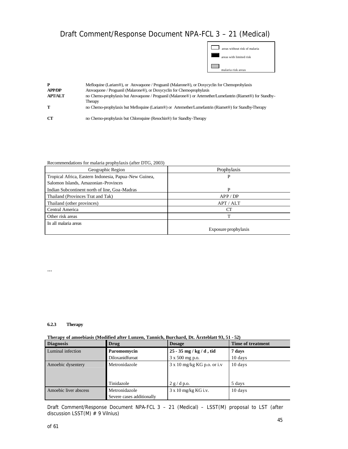| areas without risk of malaria |
|-------------------------------|
| areas with limited risk       |
| malaria risk areas            |

| P<br><b>APP/DP</b> | Mefloquine (Lariam®), or Atovaquone / Proguanil (Malarone®), or Doxycyclin for Chemoprohylaxis<br>Atovaquone / Proguanil (Malarone®), or Doxycyclin for Chemoprophylaxis |
|--------------------|--------------------------------------------------------------------------------------------------------------------------------------------------------------------------|
| <b>APT/ALT</b>     | no Chemo-prophylaxis but Atovaquone / Proguanil (Malarone®) or Artemether/Lumefantrin (Riamet®) for Standby-                                                             |
|                    | Therapy<br>no Chemo-prophylaxis but Mefloquine (Lariam®) or Artemether/Lumefantrin (Riamet®) for Standby-Therapy                                                         |
| -CT                | no Chemo-prophylaxis but Chloroquine (Resochin <sup>®</sup> ) for Standby-Therapy                                                                                        |

#### Recommendations for malaria prophylaxis (after DTG, 2003)

| Geographic Region                                     | Prophylaxis          |
|-------------------------------------------------------|----------------------|
| Tropical Africa, Eastern Indonesia, Papua-New Guinea, | P                    |
| Salomon Islands, Amazonian-Provinces                  |                      |
| Indian Subcontinent north of line, Goa-Madras         | P                    |
| Thailand (Provinces Trat and Tak)                     | APP / DP             |
| Thailand (other provinces)                            | APT/ALT              |
| Central America                                       | CT                   |
| Other risk areas                                      | т                    |
| In all malaria areas                                  |                      |
|                                                       | Exposure prophylaxis |

#### **6.2.3 Therapy**

...

#### **Therapy of amoebiasis (Modified after Lunzen, Tannich, Burchard, Dt. Ärzteblatt 93, 51 - 52)**

| <b>Diagnosis</b>                       | Drug                      | <b>Dosage</b>                      | <b>Time of treatment</b> |
|----------------------------------------|---------------------------|------------------------------------|--------------------------|
| Luminal infection                      | Paromomycin               | $25 - 35$ mg / kg / d, tid         | 7 days                   |
|                                        | Diloxanidfuroat           | 3 x 500 mg p.o.                    | 10 days                  |
| Metronidazole<br>Amoebic dysentery     |                           | $3 \times 10$ mg/kg KG p.o. or i.v | 10 days                  |
|                                        |                           |                                    |                          |
|                                        |                           |                                    |                          |
|                                        | Tinidazole                | 2 g/d p.o.                         | 5 days                   |
| Amoebic liver abscess<br>Metronidazole |                           | $3 \times 10$ mg/kg KG i.v.        | 10 days                  |
|                                        | Severe cases additionally |                                    |                          |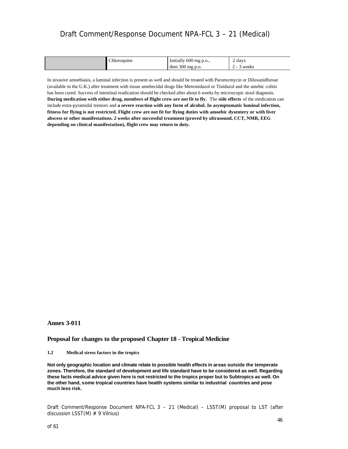| $\sim$<br>hloroquine_ | Initially 600 mg p.o.,     | 2 days               |
|-----------------------|----------------------------|----------------------|
|                       | then $300 \text{ mg p.o.}$ | weeks<br>$\sim$<br>∼ |

In invasive amoebiasis, a luminal infection is present as well and should be treated with Paromomycin or Diloxanidfuroat (available in the U.K.) after treatment with tissue amebecidal drugs like Metronidazol or Tinidazol and the amebic colitis has been cured. Success of intestinal eradication should be checked after about 6 weeks by microscopic stool diagnosis. **During medication with either drug, members of flight crew are not fit to fly.** The **side effects** of the medication can include extra-pyramidal tremors and **a severe reaction with any form of alcohol. In asymptomatic luminal infection, fitness for flying is not restricted. Flight crew are not fit for flying duties with amoebic dysentery or with liver abscess or other manifestations. 2 weeks after successful treatment (proved by ultrasound, CCT, NMR, EEG depending on clinical manifestation), flight crew may return to duty.**

#### **Annex 3-011**

#### **Proposal for changes to the proposed Chapter 18 - Tropical Medicine**

#### **1.2 Medical stress factors in the tropics**

**Not only geographic location and climate relate to possible health effects in areas outside the temperate zones. Therefore, the standard of development and life standard have to be considered as well. Regarding these facts medical advice given here is not restricted to the tropics proper but to Subtropics as well. On the other hand, some tropical countries have health systems similar to industrial countries and pose much less risk.**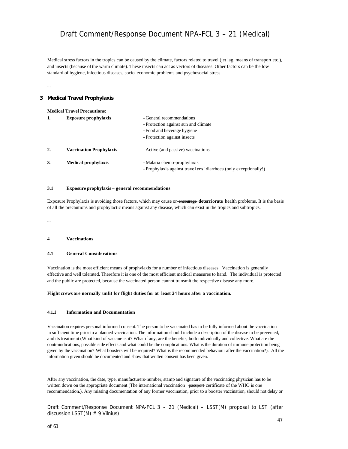Medical stress factors in the tropics can be caused by the climate, factors related to travel (jet lag, means of transport etc.), and insects (because of the warm climate). These insects can act as vectors of diseases. Other factors can be the low standard of hygiene, infectious diseases, socio-economic problems and psychosocial stress.

...

### *3 Medical Travel Prophylaxis*

| <b>Medical Travel Precautions:</b> |                                |                                                                   |
|------------------------------------|--------------------------------|-------------------------------------------------------------------|
| 1.                                 | <b>Exposure prophylaxis</b>    | - General recommendations                                         |
|                                    |                                | - Protection against sun and climate                              |
|                                    |                                | - Food and beverage hygiene                                       |
|                                    |                                | - Protection against insects                                      |
|                                    | <b>Vaccination Prophylaxis</b> | - Active (and passive) vaccinations                               |
| 3.                                 | <b>Medical prophylaxis</b>     | - Malaria chemo-prophylaxis                                       |
|                                    |                                | - Prophylaxis against travellers' diarrhoea (only exceptionally!) |

#### **3.1 Exposure prophylaxis – general recommendations**

Exposure Prophylaxis is avoiding those factors, which may cause or encourage **deterriorate** health problems. It is the basis of all the precautions and prophylactic means against any disease, which can exist in the tropics and subtropics.

...

#### **4 Vaccinations**

#### **4.1 General Considerations**

Vaccination is the most efficient means of prophylaxis for a number of infectious diseases. Vaccination is generally effective and well tolerated. Therefore it is one of the most efficient medical measures to hand. The individual is protected and the public are protected, because the vaccinated person cannot transmit the respective disease any more.

#### **Flight crews are normally unfit for flight duties for at least 24 hours after a vaccination.**

#### **4.1.1 Information and Documentation**

Vaccination requires personal informed consent. The person to be vaccinated has to be fully informed about the vaccination in sufficient time prior to a planned vaccination. The information should include a description of the disease to be prevented, and its treatment (What kind of vaccine is it? What if any, are the benefits, both individually and collective. What are the contraindications, possible side effects and what could be the complications. What is the duration of immune protection being given by the vaccination? What boosters will be required? What is the recommended behaviour after the vaccination?). All the information given should be documented and show that written consent has been given.

After any vaccination, the date, type, manufacturers-number, stamp and signature of the vaccinating physician has to be written down on the appropriate document (The international vaccination passport certificate of the WHO is one recommendation.). Any missing documentation of any former vaccination, prior to a booster vaccination, should not delay or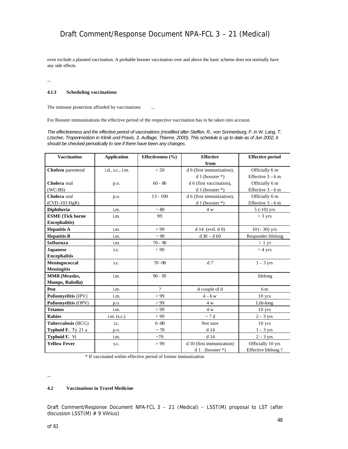even exclude a planned vaccination. A probable booster vaccination over and above the basic scheme does not normally have any side effects.

...

#### **4.1.3 Scheduling vaccinations**

The immune protection afforded by vaccinations ...

For Booster immunizations the effective period of the respective vaccination has to be taken into account.

*The effectiveness and the effective period of vaccinations (modified after Steffen, R., von Sonnenburg, F. in W. Lang, T. Löscher, Tropenmedizin in Klinik und Praxis, 3. Auflage, Thieme, 2000). This schedule is up to date as of Jun 2002, it should be checked periodically to see if there have been any changes.*

| <b>Vaccination</b>      | <b>Application</b> | Effectiveness $(\% )$ | <b>Effective</b>          | <b>Effective period</b> |
|-------------------------|--------------------|-----------------------|---------------------------|-------------------------|
|                         |                    |                       | from                      |                         |
| Cholera parenteral      | i.d., s.c., i.m.   | < 50                  | d 6 (first immunization), | Officially 6 m          |
|                         |                    |                       | $d1$ (booster *)          | Effective $3-6$ m       |
| Cholera oral            | p.o.               | $60 - 86$             | d 6 (first vaccination),  | Officially 6 m          |
| $(WC-BS)$               |                    |                       | $d1$ (booster *)          | Effective $3-6$ m       |
| Cholera oral            | p.o.               | $13 - 100$            | d 6 (first immunization), | Officially 6 m          |
| (CVD-103 HgR)           |                    |                       | $d1$ (booster *)          | Effective $3-6$ m       |
| <b>Diphtheria</b>       | i.m.               | $~1$ 80               | 4 w                       | $5( -10)$ yrs           |
| <b>ESME</b> (Tick borne | i.m.               | 99                    |                           | $>$ 3 yrs               |
| <b>Encephalitis</b> )   |                    |                       |                           |                         |
| <b>Hepatitis A</b>      | i.m.               | > 99                  | $d14$ (evtl. $d0$ )       | $10(-30)$ yrs           |
| <b>Hepatitis B</b>      | i.m.               | $~1$ 90               | $d30 - d60$               | Responder lifelong      |
| Influenza               | i.m.               | $70 - 90$             |                           | $>1 \text{ yr}$         |
| <b>Japanese</b>         | s.c.               | > 90                  |                           | $>$ 4 yrs               |
| <b>Encephalitis</b>     |                    |                       |                           |                         |
| Meningococcal           | s.c.               | $70 - 90$             | d <sub>7</sub>            | $1 - 3$ yrs             |
| <b>Meningitis</b>       |                    |                       |                           |                         |
| <b>MMR</b> (Measles,    | i.m.               | $90 - 95$             |                           | lifelong                |
| Mumps, Rubella)         |                    |                       |                           |                         |
| Pest                    | i.m.               | ?                     | A couple of d             | 6 <sub>m</sub>          |
| Poliomyelitis (IPV)     | i.m.               | > 99                  | $4 - 6 w$                 | $10$ yrs                |
| Poliomyelitis (OPV)     | p.o.               | > 99                  | 4 w                       | Life-long               |
| <b>Tetanus</b>          | i.m.               | > 99                  | 4 w                       | $10$ yrs                |
| <b>Rabies</b>           | $i.m.$ (s.c.)      | > 99                  | $\sim$ 7 d                | $2 - 3$ yrs             |
| Tuberculosis (BCG)      | i.c.               | $0 - 80$              | Not sure                  | $10$ yrs                |
| Typhoid F. Ty 21 a      | p.o.               | $~1$ 70               | d 14                      | $1 - 3$ yrs             |
| <b>Typhoid F.</b> Vi    | i.m.               | ~1                    | $d$ 14                    | $2 - 3$ yrs             |
| <b>Yellow Fever</b>     | s.c.               | > 99                  | d 10 (first immunization) | Officially 10 yrs       |
|                         |                    |                       | $d1$ (booster *)          | Effective lifelong?     |

\* If vaccinated within effective period of former immunization

...

#### **4.2 Vaccinations in Travel Medicine**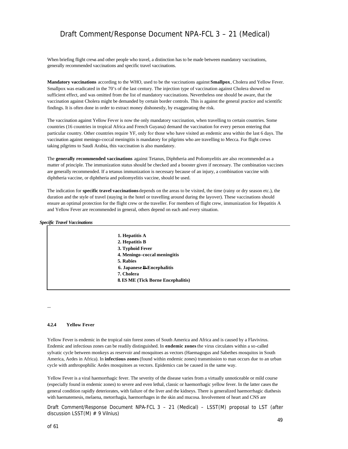When briefing flight crews and other people who travel, a distinction has to be made between mandatory vaccinations, generally recommended vaccinations and specific travel vaccinations.

**Mandatory vaccinations** according to the WHO, used to be the vaccinations against **Smallpox**, Cholera and Yellow Fever. Smallpox was eradicated in the 70's of the last century. The injection type of vaccination against Cholera showed no sufficient effect, and was omitted from the list of mandatory vaccinations. Nevertheless one should be aware, that the vaccination against Cholera might be demanded by certain border controls. This is against the general practice and scientific findings. It is often done in order to extract money dishonestly, by exaggerating the risk.

The vaccination against Yellow Fever is now the only mandatory vaccination, when travelling to certain countries. Some countries (16 countries in tropical Africa and French Guyana) demand the vaccination for every person entering that particular country. Other countries require YF, only for those who have visited an endemic area within the last 6 days. The vaccination against meningo-coccal meningitis is mandatory for pilgrims who are travelling to Mecca. For flight crews taking pilgrims to Saudi Arabia, this vaccination is also mandatory.

The **generally recommended vaccinations** against Tetanus, Diphtheria and Poliomyelitis are also recommended as a matter of principle. The immunization status should be checked and a booster given if necessary. The combination vaccines are generally recommended. If a tetanus immunization is necessary because of an injury, a combination vaccine with diphtheria vaccine, or diphtheria and poliomyelitis vaccine, should be used.

The indication for **specific travel vaccinations** depends on the areas to be visited, the time (rainy or dry season etc.), the duration and the style of travel (staying in the hotel or travelling around during the layover). These vaccinations should ensure an optimal protection for the flight crew or the traveller. For members of flight crew, immunization for Hepatitis A and Yellow Fever are recommended in general, others depend on each and every situation.

#### *Specific Travel Vaccinations*

| 1. Hepatitis A                            |
|-------------------------------------------|
| 2. Hepatitis B                            |
| 3. Typhoid Fever                          |
| 4. Meningo-coccal meningitis              |
| 5. Rabies                                 |
| <b>6. Japanese B-Encephalitis</b>         |
| 7. Cholera                                |
| <b>8. ES ME (Tick Borne Encephalitis)</b> |
|                                           |

#### **4.2.4 Yellow Fever**

...

Yellow Fever is endemic in the tropical rain forest zones of South America and Africa and is caused by a Flavivirus. Endemic and infectious zones can be readily distinguished. In **endemic zones** the virus circulates within a so-called sylvatic cycle between monkeys as reservoir and mosquitoes as vectors (Haemagogus and Sabethes mosquitos in South America, Aedes in Africa). In **infectious zones** (found within endemic zones) transmission to man occurs due to an urban cycle with anthropophilic Aedes mosquitoes as vectors. Epidemics can be caused in the same way.

Yellow Fever is a viral haemorrhagic fever. The severity of the disease varies from a virtually unnoticeable or mild course (especially found in endemic zones) to severe and even lethal, classic or haemorrhagic yellow fever. In the latter cases the general condition rapidly deteriorates, with failure of the liver and the kidneys. There is generalized haemorrhagic diathesis with haematemesis, melaena, metorrhagia, haemorrhages in the skin and mucosa. Involvement of heart and CNS are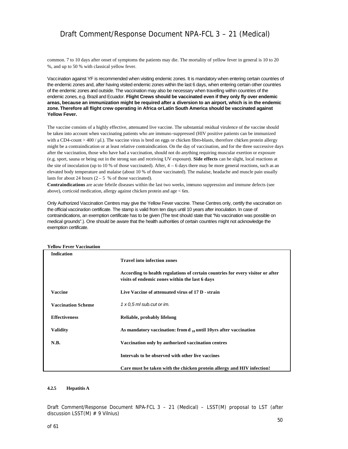common. 7 to 10 days after onset of symptoms the patients may die. The mortality of yellow fever in general is 10 to 20 %, and up to 50 % with classical yellow fever.

Vaccination against YF is recommended when visiting endemic zones. It is mandatory when entering certain countries of the endemic zones and, after having visited endemic zones within the last 6 days, when entering certain other countries of the endemic zones and outside. The vaccination may also be necessary when travelling within countries of the endemic zones, e.g. Brazil and Ecuador. **Flight Crews should be vaccinated even if they only fly over endemic areas, because an immunization might be required after a diversion to an airport, which is in the endemic zone. Therefore all flight crew operating in Africa or Latin South America should be vaccinated against Yellow Fever.** 

The vaccine consists of a highly effective, attenuated live vaccine. The substantial residual virulence of the vaccine should be taken into account when vaccinating patients who are immuno-suppressed (HIV positive patients can be immunized with a CD4-count > 400 / µl.). The vaccine virus is bred on eggs or chicken fibro-blasts, therefore chicken protein allergy might be a contraindication or at least relative contraindication. On the day of vaccination, and for the three successive days after the vaccination, those who have had a vaccination, should not do anything requiring muscular exertion or exposure (e.g. sport, sauna or being out in the strong sun and receiving UV exposure). **Side effects** can be slight, local reactions at the site of inoculation (up to 10 % of those vaccinated). After,  $4 - 6$  days there may be more general reactions, such as an elevated body temperature and malaise (about 10 % of those vaccinated). The malaise, headache and muscle pain usually lasts for about 24 hours  $(2 - 5)$  % of those vaccinated).

**Contraindications** are acute febrile diseases within the last two weeks, immuno suppression and immune defects (see above), corticoid medication, allergy against chicken protein and age < 6m.

Only Authorized Vaccination Centres may give the Yellow Fever vaccine. These Centres only, certify the vaccination on the official vaccination certificate. The stamp is valid from ten days until 10 years after inoculation. In case of contraindications, an exemption certificate has to be given (The text should state that "No vaccination was possible on medical grounds".). One should be aware that the health authorities of certain countries might not acknowledge the exemption certificate.

| Yellow Fever Vaccination  |                                                                                 |
|---------------------------|---------------------------------------------------------------------------------|
| <b>Indication</b>         |                                                                                 |
|                           | <b>Travel into infection zones</b>                                              |
|                           |                                                                                 |
|                           | According to health regulations of certain countries for every visitor or after |
|                           | visits of endemic zones within the last 6 days                                  |
| <b>Vaccine</b>            | Live Vaccine of attenuated virus of 17 D - strain                               |
|                           |                                                                                 |
| <b>Vaccination Scheme</b> | $1 \times 0.5$ ml sub.cut or im.                                                |
|                           |                                                                                 |
| <b>Effectiveness</b>      | Reliable, probably lifelong                                                     |
|                           |                                                                                 |
| <b>Validity</b>           | As mandatory vaccination: from $d_{10}$ until 10yrs after vaccination           |
| N.B.                      |                                                                                 |
|                           | Vaccination only by authorized vaccination centres                              |
|                           | Intervals to be observed with other live vaccines                               |
|                           |                                                                                 |
|                           | Care must be taken with the chicken protein allergy and HIV infection!          |

**Yellow Fever Vaccination** 

#### **4.2.5 Hepatitis A**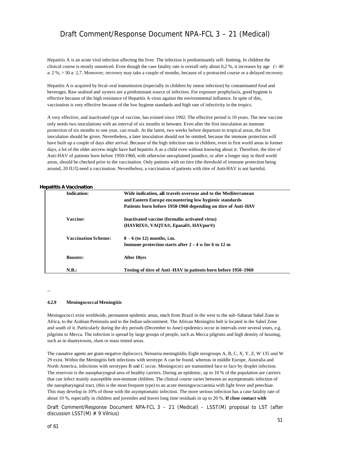Hepatitis A is an acute viral infection affecting the liver. The infection is predominantly self- limiting. In children the clinical course is mostly unnoticed. Even though the case fatality rate is overall only about 0,2 %, it increases by age (> 40 a: 2 %, > 50 a: 2,7. Moreover, recovery may take a couple of months, because of a protracted course or a delayed recovery.

Hepatitis A is acquired by fecal-oral transmission (especially in children by smear infection) by contaminated food and beverages. Raw seafood and oysters are a predominant source of infection. For exposure prophylaxis, good hygiene is effective because of the high resistance of Hepatitis A-virus against the environmental influence. In spite of this, vaccination is very effective because of the low hygiene standards and high rate of infectivity in the tropics.

A very effective, and inactivated type of vaccine, has existed since 1992. The effective period is 10 years. The new vaccine only needs two inoculations with an interval of six months in between. Even after the first inoculation an immune protection of six months to one year, can result. At the latest, two weeks before departure to tropical areas, the first inoculation should be given. Nevertheless, a later inoculation should not be omitted, because the immune protection will have built up a couple of days after arrival. Because of the high infection rate in children, even in first world areas in former days, a lot of the older aircrew might have had hepatitis A as a child even without knowing about it. Therefore, the titre of Anti-HAV of patients born before 1950-1960, with otherwise unexplained jaundice, or after a longer stay in third world areas, should be checked prior to the vaccination. Only patients with no titre (the threshold of immune protection being around, 20 IU/l) need a vaccination. Nevertheless, a vaccination of patients with titre of Anti-HAV is not harmful.

#### *Hepatitis A Vaccination*

| <b>Indication:</b> |                            | Wide indication, all travels overseas and to the Mediterranean |
|--------------------|----------------------------|----------------------------------------------------------------|
|                    |                            | and Eastern Europe encountering low hygienic standards         |
|                    |                            | Patients born before 1950-1960 depending on titre of Anti-HAV  |
| Vaccine:           |                            | Inactivated vaccine (formalin activated virus)                 |
|                    |                            | (HAVRIX®, VAOTA®, Epaxal®, HAVpur®)                            |
|                    | <b>Vaccination Scheme:</b> | $0 - 6$ (to 12) months, i.m.                                   |
|                    |                            | Immune protection starts after $2 - 4$ w for 6 to 12 m         |
| <b>Booster:</b>    |                            | After 10yrs                                                    |
| N.B.:              |                            | Testing of titre of Anti-HAV in patients born before 1950-1960 |

...

#### **4.2.9 Meningococcal Meningitis**

Meningococci exist worldwide, permanent epidemic areas, reach from Brazil in the west to the sub-Saharan Sahel Zone in Africa, to the Arabian Peninsula and to the Indian subcontinent. The African Meningitis belt is located in the Sahel Zone and south of it. Particularly during the dry periods (December to June) epidemics occur in intervals over several years, e.g. pilgrims to Mecca. The infection is spread by large groups of people, such as Mecca pilgrims and high density of housing, such as in shantytowns, slum or mass tented areas.

The causative agents are gram-negative diplococci, Neisseria meningitidis. Eight serogroups A, B, C, X, Y, Z, W 135 und W 29 exist. Within the Meningitis belt infections with serotype A can be found, whereas in middle Europe, Australia and North America, infections with serotypes B and C occur. Meningococi are transmitted face to face by droplet infection. The reservoir is the nasopharyngeal area of healthy carriers. During an epidemic, up to 10 % of the population are carriers that can infect mainly susceptible non-immune children. The clinical course varies between an asymptomatic infection of the nasopharyngeal tract, (this is the most frequent type) to an acute meningococcaemia with light fever and petechiae. This may develop in 10% of those with the asymptomatic infection. The more serious infection has a case fatality rate of about 10 %, especially in children and juveniles and leaves long time residuals in up to 20 %. **If close contact with**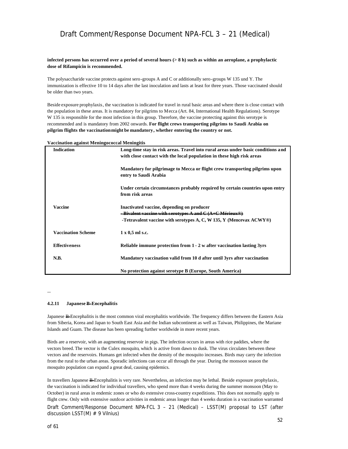#### **infected persons has occurred over a period of several hours (> 8 h) such as within an aeroplane, a prophylactic dose of Rifampicin is recommended.**

The polysaccharide vaccine protects against sero-groups A and C or additionally sero-groups W 135 und Y. The immunization is effective 10 to 14 days after the last inoculation and lasts at least for three years. Those vaccinated should be older than two years.

Beside exposure prophylaxis, the vaccination is indicated for travel in rural basic areas and where there is close contact with the population in these areas. It is mandatory for pilgrims to Mecca (Art. 84, International Health Regulations). Serotype W 135 is responsible for the most infection in this group. Therefore, the vaccine protecting against this serotype is recommended and is mandatory from 2002 onwards. **For flight crews transporting pilgrims to Saudi Arabia on pilgrim flights the vaccination might be mandatory, whether entering the country or not.**

| vaccination against inclinigococcal incliniguis |                                                                                  |  |
|-------------------------------------------------|----------------------------------------------------------------------------------|--|
| Indication                                      | Long-time stay in risk areas. Travel into rural areas under basic conditions and |  |
|                                                 | with close contact with the local population in these high risk areas            |  |
|                                                 | Mandatory for pilgrimage to Mecca or flight crew transporting pilgrims upon      |  |
|                                                 | entry to Saudi Arabia                                                            |  |
|                                                 |                                                                                  |  |
|                                                 | Under certain circumstances probably required by certain countries upon entry    |  |
|                                                 | from risk areas                                                                  |  |
| <b>Vaccine</b>                                  | Inactivated vaccine, depending on producer                                       |  |
|                                                 | -Bivalent vaccine with serotypes A and C (A+C Mérieux®)                          |  |
|                                                 | -Tetravalent vaccine with serotypes A, C, W 135, Y (Mencevax $ACWY@$ )           |  |
| <b>Vaccination Scheme</b>                       | $1 \times 0.5$ ml s.c.                                                           |  |
|                                                 |                                                                                  |  |
| <b>Effectiveness</b>                            | Reliable immune protection from 1 - 2 w after vaccination lasting 3yrs           |  |
|                                                 |                                                                                  |  |
| N.B.                                            | Mandatory vaccination valid from 10 d after until 3yrs after vaccination         |  |
|                                                 | No protection against serotype B (Europe, South America)                         |  |

**Vaccination against Meningococcal Meningitis**

...

#### **4.2.11 Japanese B-Encephalitis**

Japanese B-Encephalitis is the most common viral encephalitis worldwide. The frequency differs between the Eastern Asia from Siberia, Korea and Japan to South East Asia and the Indian subcontinent as well as Taiwan, Philippines, the Mariane Islands and Guam. The disease has been spreading further worldwide in more recent years.

Birds are a reservoir, with an augmenting reservoir in pigs. The infection occurs in areas with rice paddies, where the vectors breed. The vector is the Culex mosquito, which is active from dawn to dusk. The virus circulates between these vectors and the reservoirs. Humans get infected when the density of the mosquito increases. Birds may carry the infection from the rural to the urban areas. Sporadic infections can occur all through the year. During the monsoon season the mosquito population can expand a great deal, causing epidemics.

Draft Comment/Response Document NPA-FCL 3 – 21 (Medical) – LSST(M) proposal to LST (after discussion LSST $(M)$  # 9 Vilnius) In travellers Japanese B-Encephalitis is very rare. Nevertheless, an infection may be lethal. Beside exposure prophylaxis, the vaccination is indicated for individual travellers, who spend more than 4 weeks during the summer monsoon (May to October) in rural areas in endemic zones or who do extensive cross-country expeditions. This does not normally apply to flight crew. Only with extensive outdoor activities in endemic areas longer than 4 weeks duration is a vaccination warranted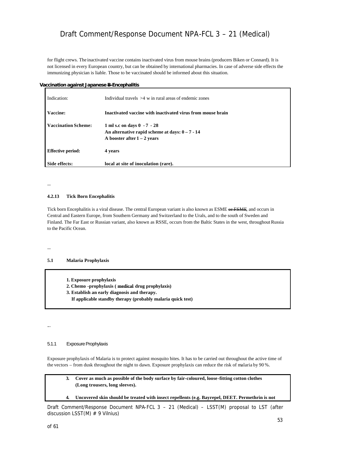for flight crews. The inactivated vaccine contains inactivated virus from mouse brains (producers Biken or Connard). It is not licensed in every European country, but can be obtained by international pharmacies. In case of adverse side effects the immunizing physician is liable. Those to be vaccinated should be informed about this situation.

#### *Vaccination against Japanese B-Encephalitis*

| Indication:                | Individual travels $>4$ w in rural areas of endemic zones                                                         |
|----------------------------|-------------------------------------------------------------------------------------------------------------------|
| Vaccine:                   | Inactivated vaccine with inactivated virus from mouse brain                                                       |
| <b>Vaccination Scheme:</b> | 1 ml s.c on days 0 - 7 - 28<br>An alternative rapid scheme at days: $0 - 7 - 14$<br>A booster after $1 - 2$ years |
| <b>Effective period:</b>   | 4 years                                                                                                           |
| Side effects:              | local at site of inoculation (rare).                                                                              |

#### **4.2.13 Tick Born Encephalitis**

Tick born Encephalitis is a viral disease. The central European variant is also known as ESME or FSME, and occurs in Central and Eastern Europe, from Southern Germany and Switzerland to the Urals, and to the south of Sweden and Finland. The Far East or Russian variant, also known as RSSE, occurs from the Baltic States in the west, throughout Russia to the Pacific Ocean.

...

...

...

#### **5.1 Malaria Prophylaxis**

**1. Exposure prophylaxis**

- **2. Chemo -prophylaxis ( medical drug prophylaxis)**
- **3. Establish an early diagnosis and therapy.**
	- **If applicable standby therapy (probably malaria quick test)**

#### 5.1.1 Exposure Prophylaxis

Exposure prophylaxis of Malaria is to protect against mosquito bites. It has to be carried out throughout the active time of the vectors – from dusk throughout the night to dawn. Exposure prophylaxis can reduce the risk of malaria by 90 %.

#### **3. Cover as much as possible of the body surface by fair-coloured, loose-fitting cotton clothes (Long trousers, long sleeves).**

**4. Uncovered skin should be treated with insect repellents (e.g. Bayrepel, DEET. Permethrin is not**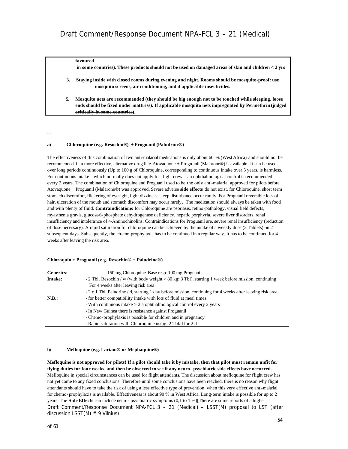#### **favoured**

 **in some countries). These products should not be used on damaged areas of skin and children < 2 yrs**

- **3. Staying inside with closed rooms during evening and night. Rooms should be mosquito-proof: use mosquito screens, air conditioning, and if applicable insecticides.**
- **5. Mosquito nets are recommended (they should be big enough not to be touched while sleeping, loose ends should be fixed under mattress). If applicable mosquito nets impregnated by Permethrin (judged critically in some countries).**

...

#### **a) Chloroquine (e.g. Resochin®) + Proguanil (Paludrine®)**

The effectiveness of this combination of two anti-malarial medications is only about 60 **%** (West Africa) and should not be recommended, if a more effective, alternative drug like Atovaquone + Proguanil (Malarone®) is available. It can be used over long periods continuously (Up to 100 g of Chloroquine, corresponding to continuous intake over 5 years, is harmless. For continuous intake – which normally does not apply for flight crew – an ophthalmological control is recommended every 2 years. The combination of Chloroquine and Proguanil used to be the only anti-malarial approved for pilots before Atovaquone + Proguanil (Malarone®) was approved. Severe adverse **side effects** do not exist, for Chloroquine, short term stomach discomfort, flickering of eyesight, light dizziness, sleep disturbance occur rarely. For Proguanil reversible loss of hair, ulceration of the mouth and stomach discomfort may occur rarely**.** The medication should always be taken with food and with plenty of fluid. **Contraindications** for Chloroquine are psoriasis, retino-pathology, visual field defects, myasthenia gravis, glucose-6-phosphate dehydrogenase deficiency, hepatic porphyria, severe liver disorders, renal insufficiency and intolerance of 4-Aminochinolins. Contraindications for Proguanil are, severe renal insufficiency (reduction of dose necessary). A rapid saturation for chloroquine can be achieved by the intake of a weekly dose (2 Tablets) on 2 subsequent days. Subsequently, the chemo-prophylaxis has to be continued in a regular way. It has to be continued for 4 weeks after leaving the risk area.

#### **Chloroquin + Proguanil (e.g. Resochin® + Paludrine®)**

| Generics: | - 150 mg Chloroquine-Base resp. 100 mg Proguanil                                                          |
|-----------|-----------------------------------------------------------------------------------------------------------|
| Intake:   | - 2 Tbl. Resochin / w (with body weight > 80 kg: 3 Tbl), starting 1 week before mission, continuing       |
|           | For 4 weeks after leaving risk area                                                                       |
|           | - 2 x 1 Tbl. Paludrine / d, starting 1 day before mission, continuing for 4 weeks after leaving risk area |
| N.B.:     | - for better compatibility intake with lots of fluid at meal times.                                       |
|           | - With continuous intake $> 2$ a ophthalmological control every 2 years                                   |
|           | - In New Guinea there is resistance against Proguanil                                                     |
|           | - Chemo-prophylaxis is possible for children and in pregnancy                                             |
|           | - Rapid saturation with Chloroquine using: 2 Tbl/d for 2 d                                                |

#### **b) Mefloquine (e.g. Lariam® or Mephaquine®)**

Draft Comment/Response Document NPA-FCL 3 – 21 (Medical) – LSST(M) proposal to LST (after discussion LSST(M) # 9 Vilnius) **Mefloquine is not approved for pilots! If a pilot should take it by mistake, then that pilot must remain unfit for flying duties for four weeks, and then be observed to see if any neuro- psychiatric side effects have occurred.** Mefloquine in special circumstances can be used for flight attendants. The discussion about mefloquine for flight crew has not yet come to any fixed conclusions. Therefore until some conclusions have been reached, there is no reason why flight attendants should have to take the risk of using a less effective type of prevention, when this very effective anti-malarial for chemo- prophylaxis is available. Effectiveness is about 90 % in West Africa. Long-term intake is possible for up to 2 years. The **Side Effects** can include neuro- psychiatric symptoms (0,1 to 1 %)[There are some reports of a higher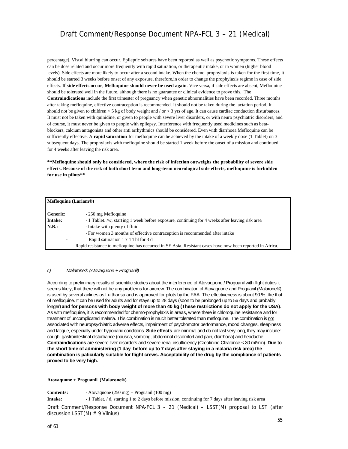percentage]. Visual blurring can occur. Epileptic seizures have been reported as well as psychotic symptoms. These effects can be dose related and occur more frequently with rapid saturation, or therapeutic intake, or in women (higher blood levels). Side effects are more likely to occur after a second intake. When the chemo-prophylaxis is taken for the first time, it should be started 3 weeks before onset of any exposure, therefore,in order to change the prophylaxis regime in case of side effects. **If side effects occur**, **Mefloquine should never be used again**. Vice versa, if side effects are absent, Mefloquine should be tolerated well in the future, although there is no guarantee or clinical evidence to prove this. The **Contraindications** include the first trimester of pregnancy when genetic abnormalities have been recorded. Three months after taking mefloquine, effective contraception is recommended. It should not be taken during the lactation period. It should not be given to children  $<$  5 kg of body weight and  $/$  or  $<$  3 yrs of age. It can cause cardiac conduction disturbances. It must not be taken with quinidine, or given to people with severe liver disorders, or with neuro psychiatric disorders, and of course, it must never be given to people with epilepsy. Interference with frequently used medicines such as betablockers, calcium antagonists and other anti arrhythmics should be considered. Even with diarrhoea Mefloquine can be sufficiently effective. A **rapid saturation** for mefloquine can be achieved by the intake of a weekly dose (1 Tablet) on 3 subsequent days. The prophylaxis with mefloquine should be started 1 week before the onset of a mission and continued for 4 weeks after leaving the risk area.

**\*\*Mefloquine should only be considered, where the risk of infection outweighs the probability of severe side effects. Because of the risk of both short term and long-term neurological side effects, mefloquine is forbidden for use in pilots\*\*** 

|                          | <b>Mefloquine (Lariam®)</b>                                                                               |  |  |
|--------------------------|-----------------------------------------------------------------------------------------------------------|--|--|
| <b>Generic:</b>          | - 250 mg Mefloquine                                                                                       |  |  |
| <b>Intake:</b>           | - 1 Tablet. /w, starting 1 week before exposure, continuing for 4 weeks after leaving risk area           |  |  |
| N.B.:                    | - Intake with plenty of fluid                                                                             |  |  |
|                          | - For women 3 months of effective contraception is recommended after intake                               |  |  |
| -                        | Rapid saturation 1 x 1 Tbl for 3 d                                                                        |  |  |
| $\overline{\phantom{a}}$ | Rapid resistance to mefloquine has occurred in SE Asia. Resistant cases have now been reported in Africa. |  |  |

#### *c) Malarone® (Atovaquone + Proguanil)*

According to preliminary results of scientific studies about the interference of Atovaquone / Proguanil with flight duties it seems likely, that there will not be any problems for aircrew. The combination of Atovaquone and Proguanil (Malarone®) is used by several airlines as Lufthansa and is approved for pilots by the FAA.The effectiveness is about 90 %, like that of mefloquine. It can be used for adults and for stays up to 28 days (soon to be prolonged up to 56 days and probably longer) **and for persons with body weight of more than 40 kg (These restrictions do not apply for the USA)**. As with mefloquine, it is recommended for chemo-prophylaxis in areas, where there is chloroquine resistance and for treatment of uncomplicated malaria. This combination is much better tolerated than mefloquine. The combination is not associated with neuropsychiatric adverse effects, impairment of psychomotor performance, mood changes, sleepiness and fatigue, especially under hypobaric conditions. **Side effects** are minimal and do not last very long, they may include: cough, gastrointestinal disturbance (nausea, vomiting, abdominal discomfort and pain, diarrhoea) and headache. **Contraindications** are severe liver disorders and severe renal insufficiency (Creatinine-Clearance < 30 ml/min). **Due to the short time of administering (1 day before up to 7 days after staying in a malaria risk area) the combination is paticularly suitable for flight crews. Acceptability of the drug by the compliance of patients proved to be very high.**

| $A$ tovaquone + Proguanil (Malarone®) |  |
|---------------------------------------|--|
|                                       |  |
|                                       |  |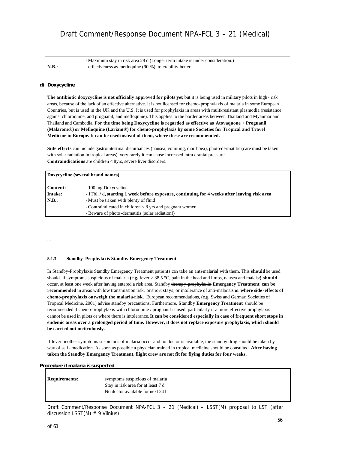|                      | - Maximum stay in risk area 28 d (Longer term intake is under consideration.) |
|----------------------|-------------------------------------------------------------------------------|
| $\blacksquare$ N.B.: | - effectiveness as mefloquine (90 %), tolerability better                     |

#### *d) Doxycycline*

**The antibiotic doxycycline is not officially approved for pilots yet**, but it is being used in military pilots in high - risk areas, because of the lack of an effective alternative. It is not licensed for chemo-prophylaxis of malaria in some European Countries, but is used in the UK and the U.S. It is used for prophylaxis in areas with multi-resistant plasmodia (resistance against chloroquine, and proguanil, and mefloquine). This applies to the border areas between Thailand and Myanmar and Thailand and Cambodia. **For the time being Doxycycline is regarded as effective as Atovaquone + Proguanil (Malarone®) or Mefloquine (Lariam®) for chemo-prophylaxis by some Societies for Tropical and Travel Medicine in Europe. It can be usedinstead of them, where these are recommended.**

**Side effects** can include gastrointestinal disturbances (nausea, vomiting, diarrhoea), photo-dermatitis (care must be taken with solar radiation in tropical areas), very rarely it can cause increased intra-cranial pressure. **Contraindications** are children < 8yrs, severe liver disorders.

| Doxycycline (several brand names) |                                                                                              |  |
|-----------------------------------|----------------------------------------------------------------------------------------------|--|
| <b>Content:</b>                   | - 100 mg Doxycycline                                                                         |  |
| Intake:                           | - 1Tbl. / d, starting 1 week before exposure, continuing for 4 weeks after leaving risk area |  |
| N.B.:                             | - Must be t aken with plenty of fluid                                                        |  |
|                                   | - Contraindicated in children $< 8$ yrs and pregnant women                                   |  |
|                                   | - Beware of photo-dermatitis (solar radiation!)                                              |  |

...

#### **5.1.3 Standby -Prophylaxis Standby Emergency Treatment**

In Standby-Prophylaxis Standby Emergency Treatment patients can take an anti-malarial with them. This **should** be used should if symptoms suspicious of malaria **(e.g.** fever > 38,5 °C, pain in the head and limbs, nausea and malaise**) should** occur, at least one week after having entered a risk area. Standby therapy-prophylaxis **Emergency Treatment can be recommended** in areas with low transmission risk,  $\leftrightarrow$  short stays,  $\leftrightarrow$  intolerance of anti-malarials **or where side-effects of chemo-prophylaxis outweigh the malaria-risk**. European recommendations, (e.g. Swiss and German Societies of Tropical Medicine, 2001) advise standby precautions. Furthermore, **S**tandby **Emergency Treatment** should be recommended if chemo-prophylaxis with chloroquine / proguanil is used, particularly if a more effective prophylaxis cannot be used in pilots or where there is intolerance. **It can be considered especially in case of frequent short stops in endemic areas over a prolonged period of time. However, it does not replace exposure prophylaxis, which should be carried out meticulously.** 

If fever or other symptoms suspicious of malaria occur and no doctor is available, the standby drug should be taken by way of self- medication. As soon as possible a physician trained in tropical medicine should be consulted. **After having taken the Standby Emergency Treatment, flight crew are not fit for flying duties for four weeks.**

#### *Procedure if malaria is suspected*

| symptoms suspicious of malaria     |
|------------------------------------|
| Stay in risk area for at least 7 d |
| No doctor available for next 24 h  |
|                                    |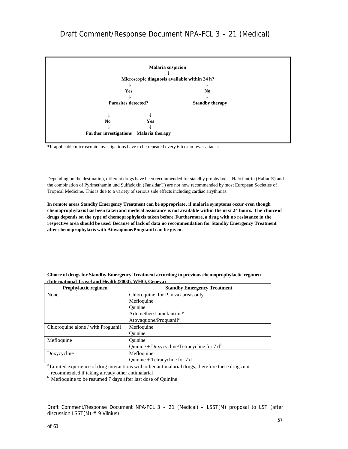

\*If applicable microscopic investigations have to be repeated every 6 h or in fever attacks

Depending on the destination, different drugs have been recommended for standby prophylaxis. Halo fantrin (Halfan®) and the combination of Pyrimethamin und Sulfadoxin (Fansidar®) are not now recommended by most European Societies of Tropical Medicine. This is due to a variety of serious side effects including cardiac arrythmias.

**In remote areas Standby Emergency Treatment can be appropriate, if malaria symptoms occur even though chemoprophylaxis has been taken and medical assistance is not available within the next 24 hours. The choice of drugs depends on the type of chemoprophylaxis taken before. Furthermore, a drug with no resistance in the respective area should be used. Because of lack of data no recommendation for Standby Emergency Treatment after chemoprophylaxis with Atovaquone/Proguanil can be given.**

| <b>Prophylactic regimen</b>        | <b>Standby Emergency Treatment</b>             |  |
|------------------------------------|------------------------------------------------|--|
| None                               | Chloroquine, for P. vivax areas only           |  |
|                                    | Mefloquine                                     |  |
|                                    | Ouinine                                        |  |
|                                    | Artemether/Lumefantrine <sup>a</sup>           |  |
|                                    | Atovaguone/Proguanil <sup>a</sup>              |  |
| Chloroquine alone / with Proguanil | Mefloquine                                     |  |
|                                    | Ouinine                                        |  |
| Mefloquine                         | Quinine <sup>b</sup>                           |  |
|                                    | Quinine + Doxycycline/Tetracycline for 7 $d^b$ |  |
| Doxycycline                        | Mefloquine                                     |  |
|                                    | Quinine + Tetracycline for 7 d                 |  |

**Choice of drugs for Standby Emergency Treatment according to previous chemoprophylactic regimen (International Travel and Health (2004), WHO, Geneva)**

<sup>a</sup> Limited experience of drug interactions with other antimalarial drugs, therefore these drugs not recommended if taking already other antimalarial

<sup>b</sup> Mefloquine to be resumed 7 days after last dose of Quinine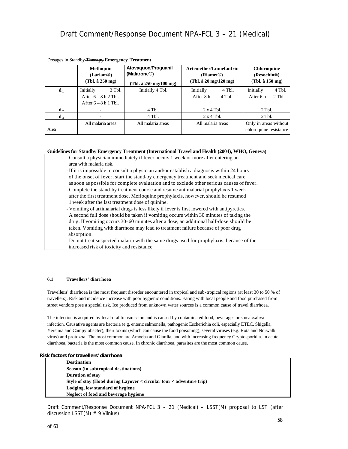|                | <b>Mefloquin</b><br>(Larian@)<br>(Thl. à 250 mg)                        | Atovaguon/Proguanil<br>(Malarone <sup>®</sup> )<br>(Tbl. à $250 \text{ mg}/100 \text{ mg}$ ) | <b>Artemether/Lumefantrin</b><br>(Riamet <sup>®)</sup><br>(Tbl. $\hat{a}$ 20 mg/120 mg) | <b>Chloroquine</b><br>(Resochin <sup>®)</sup><br>(Thl. à 150 mg) |
|----------------|-------------------------------------------------------------------------|----------------------------------------------------------------------------------------------|-----------------------------------------------------------------------------------------|------------------------------------------------------------------|
| d <sub>1</sub> | Initially<br>3 Tbl.<br>After $6 - 8 h 2$ Tbl.<br>After $6 - 8 h 1$ Tbl. | Initially 4 Tbl.                                                                             | Initially<br>4 Tbl.<br>After 8 h<br>4 Th.                                               | Initially<br>4 Tbl.<br>$2$ Tbl.<br>After 6 h                     |
| $d_2$          |                                                                         | 4 Tbl.                                                                                       | $2 \times 4$ Tbl.                                                                       | $2$ Tbl.                                                         |
| $d_3$          |                                                                         | 4 Tbl.                                                                                       | $2 \times 4$ Tbl.                                                                       | $2$ Tbl.                                                         |
| Area           | All malaria areas                                                       | All malaria areas                                                                            | All malaria areas                                                                       | Only in areas without<br>chloroquine resistance                  |

#### Dosages in Standby **Therapy Emergency Treatment**

#### **Guidelines for Standby Emergency Treatment (International Travel and Health (2004), WHO, Geneva)**

- Consult a physician immediately if fever occurs 1 week or more after entering an area with malaria risk.
- If it is impossible to consult a physician and/or establish a diagnosis within 24 hours of the onset of fever, start the stand-by emergency treatment and seek medical care as soon as possible for complete evaluation and to exclude other serious causes of fever.
- Complete the stand-by treatment course and resume antimalarial prophylaxis 1 week after the first treatment dose. Mefloquine prophylaxis, however, should be resumed 1 week after the last treatment dose of quinine.
- Vomiting of antimalarial drugs is less likely if fever is first lowered with antipyretics. A second full dose should be taken if vomiting occurs within 30 minutes of taking the drug. If vomiting occurs 30–60 minutes after a dose, an additional half-dose should be taken. Vomiting with diarrhoea may lead to treatment failure because of poor drug absorption.
- Do not treat suspected malaria with the same drugs used for prophylaxis, because of the increased risk of toxicity and resistance.

...

#### **6.1 Travellers' diarrhoea**

Travel**lers'** diarrhoea is the most frequent disorder encountered in tropical and sub-tropical regions (at least 30 to 50 % of travellers). Risk and incidence increase with poor hygienic conditions. Eating with local people and food purchased from street vendors pose a special risk. Ice produced from unknown water sources is a common cause of travel diarrhoea.

The infection is acquired by fecal-oral transmission and is caused by contaminated food, beverages or smear/saliva infection. Causative agents are bacteria (e.g. enteric salmonella, pathogenic Escherichia coli, especially ETEC, Shigella, Yersinia and Campylobacter), their toxins (which can cause the food poisoning), several viruses (e.g. Rota and Norwalk virus) and protozoa. The most common are Amoeba and Giardia, and with increasing frequency Cryptosporidia. In acute diarrhoea, bacteria is the most common cause. In chronic diarrhoea, parasites are the most common cause.

#### *Risk factors for travellers' diarrhoea*

**Destination Season (in subtropical destinations) Duration of stay Style of stay (Hotel during Layover < circular tour < adventure trip) Lodging, low standard of hygiene Neglect of food and beverage hygiene**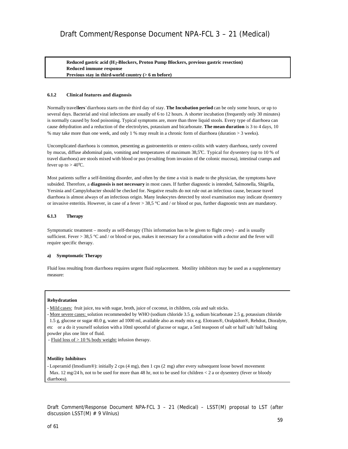**Reduced gastric acid (H2-Blockers, Proton Pump Blockers, previous gastric resection) Reduced immune response Previous stay in third-world country (> 6 m before)**

#### **6.1.2 Clinical features and diagnosis**

Normally travel**lers**' diarrhoea starts on the third day of stay. **The Incubation period** can be only some hours, or up to several days. Bacterial and viral infections are usually of 6 to 12 hours. A shorter incubation (frequently only 30 minutes) is normally caused by food poisoning. Typical symptoms are, more than three liquid stools. Every type of diarrhoea can cause dehydration and a reduction of the electrolytes, potassium and bicarbonate. **The mean duration** is 3 to 4 days, 10 % may take more than one week, and only 1 % may result in a chronic form of diarrhoea (duration > 3 weeks).

Uncomplicated diarrhoea is common, presenting as gastroenteritis or entero-colitis with watery diarrhoea, rarely covered by mucus, diffuse abdominal pain, vomiting and temperatures of maximum 38,5°C. Typical for dysentery (up to 10 % of travel diarrhoea) are stools mixed with blood or pus (resulting from invasion of the colonic mucosa), intestinal cramps and fever up to  $> 40^{\circ}$ C.

Most patients suffer a self-limiting disorder, and often by the time a visit is made to the physician, the symptoms have subsided. Therefore, a **diagnosis is not necessary** in most cases. If further diagnostic is intended, Salmonella, Shigella, Yersinia and Campylobacter should be checked for. Negative results do not rule out an infectious cause, because travel diarrhoea is almost always of an infectious origin. Many leukocytes detected by stool examination may indicate dysentery or invasive enteritis. However, in case of a fever > 38,5 °C and / or blood or pus, further diagnostic tests are mandatory.

#### **6.1.3 Therapy**

Symptomatic treatment – mostly as self-therapy (This information has to be given to flight crew) - and is usually sufficient. Fever > 38,5 °C and / or blood or pus, makes it necessary for a consultation with a doctor and the fever will require specific therapy.

#### **a) Symptomatic Therapy**

Fluid loss resulting from diarrhoea requires urgent fluid replacement. Motility inhibitors may be used as a supplementary measure:

#### **Rehydratation**

- Mild cases: fruit juice, tea with sugar, broth, juice of coconut, in children, cola and salt sticks.

- More severe cases: solution recommended by WHO (sodium chloride 3.5 g, sodium bicarbonate 2.5 g, potassium chloride 1.5 g, glucose or sugar 40.0 g, water ad 1000 ml, available also as ready mix e.g. Elotrans®, Oralpädon®, Rehdrat, Dioralyte, etc or a do it yourself solution with a 10ml spoonful of glucose or sugar, a 5ml teaspoon of salt or half salt/ half baking powder plus one litre of fluid.

- Fluid loss of > 10 % body weight: infusion therapy.

#### **Motility Inhibitors**

- Loperamid (Imodium®): initially 2 cps (4 mg), then 1 cps (2 mg) after every subsequent loose bowel movement Max. 12 mg/24 h, not to be used for more than 48 hr, not to be used for children  $<$  2 a or dysentery (fever or bloody diarrhoea).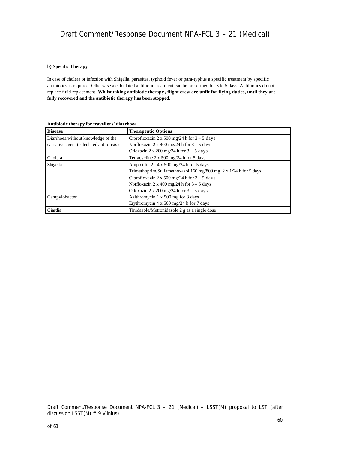#### **b) Specific Therapy**

In case of cholera or infection with Shigella, parasites, typhoid fever or para-typhus a specific treatment by specific antibiotics is required. Otherwise a calculated antibiotic treatment can be prescribed for 3 to 5 days. Antibiotics do not replace fluid replacement! **Whilst taking antibiotic therapy , flight crew are unfit for flying duties, until they are fully recovered and the antibiotic therapy has been stopped.**

| <b>Disease</b>                          | <b>Therapeutic Options</b>                                       |  |
|-----------------------------------------|------------------------------------------------------------------|--|
| Diarrhoea without knowledge of the      | Ciprofloxazin 2 x 500 mg/24 h for $3 - 5$ days                   |  |
| causative agent (calculated antibiosis) | Norfloxazin 2 x 400 mg/24 h for $3 - 5$ days                     |  |
|                                         | Ofloxazin 2 x 200 mg/24 h for $3 - 5$ days                       |  |
| Cholera                                 | Tetracycline $2 \times 500$ mg/24 h for 5 days                   |  |
| Shigella                                | Ampicillin 2 - 4 x 500 mg/24 h for 5 days                        |  |
|                                         | Trimethoprim/Sulfamethoxazol 160 mg/800 mg 2 x 1/24 h for 5 days |  |
|                                         | Ciprofloxazin 2 x 500 mg/24 h for $3 - 5$ days                   |  |
|                                         | Norfloxazin 2 x 400 mg/24 h for $3 - 5$ days                     |  |
|                                         | Ofloxazin 2 x 200 mg/24 h for $3 - 5$ days                       |  |
| Campylobacter                           | Azithromycin 1 x 500 mg for 3 days                               |  |
|                                         | Erythromycin 4 x 500 mg/24 h for 7 days                          |  |
| Giardia                                 | Tinidazole/Metronidazole 2 g as a single dose                    |  |

**Antibiotic therapy for travellers' diarrhoea**